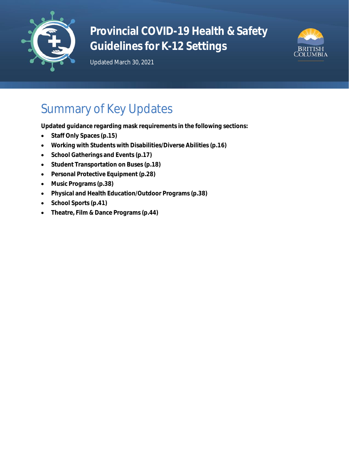

# **Provincial COVID-19 Health & Safety Guidelines for K-12 Settings**





# Summary of Key Updates

**Updated guidance regarding mask requirements in the following sections:**

- **Staff Only Spaces (p.15)**
- **Working with Students with Disabilities/Diverse Abilities (p.16)**
- **School Gatherings and Events (p.17)**
- **Student Transportation on Buses (p.18)**
- **Personal Protective Equipment (p.28)**
- **Music Programs (p.38)**
- **Physical and Health Education/Outdoor Programs (p.38)**
- **School Sports (p.41)**
- **Theatre, Film & Dance Programs (p.44)**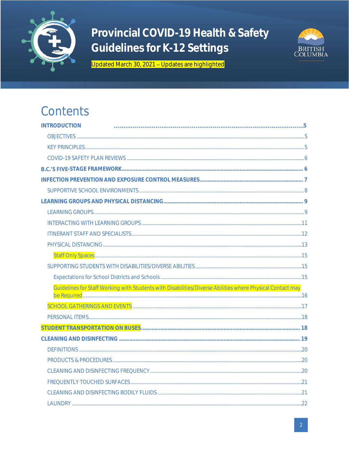

## Provincial COVID-19 Health & Safety Guidelines for K-12 Settings



Updated March 30, 2021 - Updates are highlighted

## Contents

| <b>INTRODUCTION</b>                                                                                       |  |
|-----------------------------------------------------------------------------------------------------------|--|
|                                                                                                           |  |
|                                                                                                           |  |
|                                                                                                           |  |
|                                                                                                           |  |
|                                                                                                           |  |
|                                                                                                           |  |
|                                                                                                           |  |
|                                                                                                           |  |
|                                                                                                           |  |
|                                                                                                           |  |
|                                                                                                           |  |
|                                                                                                           |  |
|                                                                                                           |  |
|                                                                                                           |  |
| Guidelines for Staff Working with Students with Disabilities/Diverse Abilities where Physical Contact may |  |
|                                                                                                           |  |
|                                                                                                           |  |
|                                                                                                           |  |
|                                                                                                           |  |
|                                                                                                           |  |
|                                                                                                           |  |
|                                                                                                           |  |
|                                                                                                           |  |
|                                                                                                           |  |
|                                                                                                           |  |
|                                                                                                           |  |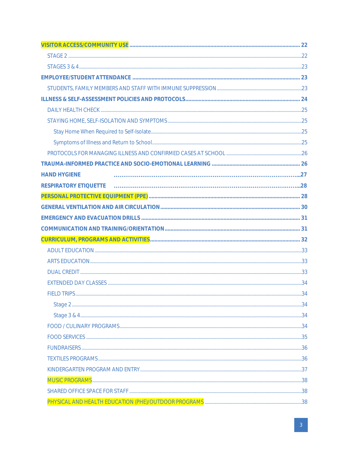| <b>HAND HYGIENE</b> |  |
|---------------------|--|
|                     |  |
|                     |  |
|                     |  |
|                     |  |
|                     |  |
|                     |  |
|                     |  |
|                     |  |
|                     |  |
|                     |  |
|                     |  |
|                     |  |
|                     |  |
|                     |  |
|                     |  |
|                     |  |
|                     |  |
|                     |  |
|                     |  |
|                     |  |
|                     |  |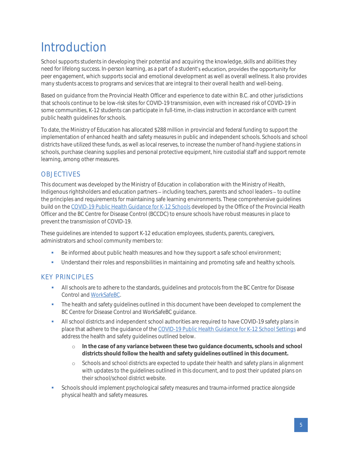# <span id="page-4-0"></span>Introduction

School supports students in developing their potential and acquiring the knowledge, skills and abilities they need for lifelong success. In-person learning, as a part of a student's education, provides the opportunity for peer engagement, which supports social and emotional development as well as overall wellness. It also provides many students access to programs and services that are integral to their overall health and well-being.

Based on guidance from the Provincial Health Officer and experience to date within B.C. and other jurisdictions that schools continue to be low-risk sites for COVID-19 transmission, even with increased risk of COVID-19 in some communities, K-12 students can participate in full-time, in-class instruction in accordance with current public health guidelines for schools.

To date, the Ministry of Education has allocated \$288 million in provincial and federal funding to support the implementation of enhanced health and safety measures in public and independent schools. Schools and school districts have utilized these funds, as well as local reserves, to increase the number of hand-hygiene stations in schools, purchase cleaning supplies and personal protective equipment, hire custodial staff and support remote learning, among other measures.

## <span id="page-4-1"></span>**OBJECTIVES**

This document was developed by the Ministry of Education in collaboration with the Ministry of Health, Indigenous rightsholders and education partners – including teachers, parents and school leaders – to outline the principles and requirements for maintaining safe learning environments. These comprehensive guidelines build on the [COVID-19 Public Health Guidance for K-12 Schools](http://www.bccdc.ca/Health-Info-Site/Documents/COVID_public_guidance/Guidance-k-12-schools.pdf) developed by the Office of the Provincial Health Officer and the BC Centre for Disease Control (BCCDC) to ensure schools have robust measures in place to prevent the transmission of COVID-19.

These guidelines are intended to support K-12 education employees, students, parents, caregivers, administrators and school community members to:

- **•** Be informed about public health measures and how they support a safe school environment;
- **•** Understand their roles and responsibilities in maintaining and promoting safe and healthy schools.

### <span id="page-4-2"></span>KEY PRINCIPLES

- **•** All schools are to adhere to the standards, guidelines and protocols from the BC Centre for Disease Control an[d WorkSafeBC.](https://www.worksafebc.com/en/about-us/covid-19-updates/covid-19-returning-safe-operation/education)
- **•** The health and safety guidelines outlined in this document have been developed to complement the BC Centre for Disease Control and WorkSafeBC guidance.
- **•** All school districts and independent school authorities are required to have COVID-19 safety plans in place that adhere to the guidance of th[e COVID-19 Public Health Guidance for K-12 School Settings](http://www.bccdc.ca/Health-Info-Site/Documents/COVID_public_guidance/Guidance-k-12-schools.pdf) and address the health and safety guidelines outlined below.
	- o **In the case of any variance between these two guidance documents, schools and school districts should follow the health and safety guidelines outlined in this document.**
	- o Schools and school districts are expected to update their health and safety plans in alignment with updates to the guidelines outlined in this document, and to post their updated plans on their school/school district website.
- Schools should implement psychological safety measures and trauma-informed practice alongside physical health and safety measures.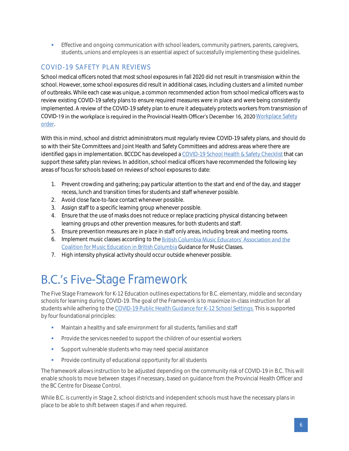**• Effective and ongoing communication with school leaders, community partners, parents, caregivers,** students, unions and employees is an essential aspect of successfully implementing these guidelines.

## <span id="page-5-0"></span>COVID-19 SAFETY PLAN REVIEWS

School medical officers noted that most school exposures in fall 2020 did not result in transmission within the school. However, some school exposures did result in additional cases, including clusters and a limited number of outbreaks. While each case was unique, a common recommended action from school medical officers was to review existing COVID-19 safety plans to ensure required measures were in place and were being consistently implemented. A review of the COVID-19 safety plan to enure it adequately protects workers from transmission of COVID-19 in the workplace is required in the Provincial Health Officer's December 16, 2020 Workplace Safety [order.](https://www2.gov.bc.ca/assets/gov/health/about-bc-s-health-care-system/office-of-the-provincial-health-officer/covid-19/covid-19-pho-order-workplace-safety.pdf)

With this in mind, school and district administrators must regularly review COVID-19 safety plans, and should do so with their Site Committees and Joint Health and Safety Committees and address areas where there are identified gaps in implementation. BCCDC has developed a [COVID-19 School Health & Safety Checklist](http://www.bccdc.ca/schools/Documents/Health_Safety_Checklist.pdf) that can support these safety plan reviews. In addition, school medical officers have recommended the following key areas of focus for schools based on reviews of school exposures to date:

- 1. Prevent crowding and gathering; pay particular attention to the start and end of the day, and stagger recess, lunch and transition times for students and staff whenever possible.
- 2. Avoid close face-to-face contact whenever possible.
- 3. Assign staff to a specific learning group whenever possible.
- 4. Ensure that the use of masks does not reduce or replace practicing physical distancing between learning groups and other prevention measures, for both students and staff.
- 5. Ensure prevention measures are in place in staff only areas, including break and meeting rooms.
- 6. Implement music classes according to th[e](https://drive.google.com/file/d/1KG2rE1rU-NENxbQsuYN20xnM9TBlNn3Z/view) British Columbia Music Educators' Association and the [Coalition for Music Education in British Columbia](https://drive.google.com/file/d/1KG2rE1rU-NENxbQsuYN20xnM9TBlNn3Z/view) Guidance for Music Classes.
- 7. High intensity physical activity should occur outside whenever possible.

## <span id="page-5-1"></span>**B.C.'s Five-Stage Framework**

The Five Stage Framework for K-12 Education outlines expectations for B.C. elementary, middle and secondary schools for learning during COVID-19. The goal of the Framework is to maximize in-class instruction for all students while adhering to the [COVID-19 Public Health Guidance for K-12 School Settings.](http://www.bccdc.ca/Health-Info-Site/Documents/COVID_public_guidance/Guidance-k-12-schools.pdf) This is supported by four foundational principles:

- **■** Maintain a healthy and safe environment for all students, families and staff
- Provide the services needed to support the children of our essential workers
- **•** Support vulnerable students who may need special assistance
- **•** Provide continuity of educational opportunity for all students

The framework allows instruction to be adjusted depending on the community risk of COVID-19 in B.C. This will enable schools to move between stages if necessary, based on guidance from the Provincial Health Officer and the BC Centre for Disease Control.

While B.C. is currently in Stage 2, school districts and independent schools must have the necessary plans in place to be able to shift between stages if and when required.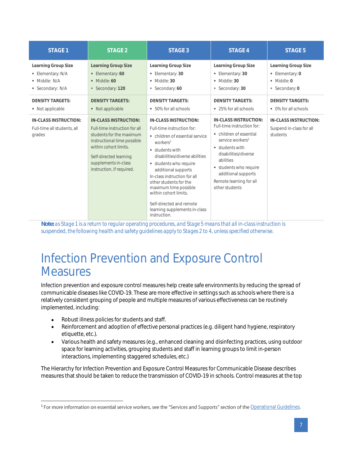| STAGE 1                                                                     | STAGE 2                                                                                                                                                                                                                   | STAGE 3                                                                                                                                                                                                                                                                                                                                                                                                   | STAGE 4                                                                                                                                                                                                                                                                         | STAGE 5                                                                                 |
|-----------------------------------------------------------------------------|---------------------------------------------------------------------------------------------------------------------------------------------------------------------------------------------------------------------------|-----------------------------------------------------------------------------------------------------------------------------------------------------------------------------------------------------------------------------------------------------------------------------------------------------------------------------------------------------------------------------------------------------------|---------------------------------------------------------------------------------------------------------------------------------------------------------------------------------------------------------------------------------------------------------------------------------|-----------------------------------------------------------------------------------------|
| Learning Group Size<br>■ Elementary: N/A<br>· Middle: N/A<br>Secondary: N/A | Learning Group Size<br>• Elementary: 60<br>$\blacksquare$ Middle: 60<br>Secondary: 120                                                                                                                                    | Learning Group Size<br>• Elementary: 30<br>$\blacksquare$ Middle: 30<br>Secondary: 60                                                                                                                                                                                                                                                                                                                     | Learning Group Size<br>• Elementary: 30<br>$\blacksquare$ Middle: 30<br>Secondary: 30                                                                                                                                                                                           | Learning Group Size<br>• Elementary: 0<br>$\blacksquare$ Middle: 0<br>Secondary: 0<br>٠ |
| <b>DENSITY TARGETS:</b><br>• Not applicable                                 | <b>DENSITY TARGETS:</b><br>• Not applicable                                                                                                                                                                               | <b>DENSITY TARGETS:</b><br>■ 50% for all schools                                                                                                                                                                                                                                                                                                                                                          | <b>DENSITY TARGETS:</b><br>■ 25% for all schools                                                                                                                                                                                                                                | <b>DENSITY TARGETS:</b><br>• 0% for all schools                                         |
| IN-CLASS INSTRUCTION:<br>Full-time all students, all<br>grades              | IN-CLASS INSTRUCTION:<br>Full-time instruction for all<br>students for the maximum<br>instructional time possible<br>within cohort limits.<br>Self-directed learning<br>supplements in-class<br>instruction, if required. | IN-CLASS INSTRUCTION:<br>Full-time instruction for:<br>• children of essential service<br>workers <sup>1</sup><br>students with<br>disabilities/diverse abilities<br>students who require<br>additional supports<br>In-class instruction for all<br>other students for the<br>maximum time possible<br>within cohort limits.<br>Self-directed and remote<br>learning supplements in-class<br>instruction. | IN-CLASS INSTRUCTION:<br>Full-time instruction for:<br>• children of essential<br>service workers <sup>1</sup><br>$\blacksquare$ students with<br>disabilities/diverse<br>abilities<br>students who require<br>additional supports<br>Remote learning for all<br>other students | <b>IN-CLASS INSTRUCTION:</b><br>Suspend in-class for all<br>students                    |

*Note: as Stage 1 is a return to regular operating procedures, and Stage 5 means that all in-class instruction is suspended, the following health and safety guidelines apply to Stages 2 to 4, unless specified otherwise.*

## <span id="page-6-0"></span>Infection Prevention and Exposure Control **Measures**

Infection prevention and exposure control measures help create safe environments by reducing the spread of communicable diseases like COVID-19. These are more effective in settings such as schools where there is a relatively consistent grouping of people and multiple measures of various effectiveness can be routinely implemented, including:

- Robust illness policies for students and staff.
- Reinforcement and adoption of effective personal practices (e.g. diligent hand hygiene, respiratory etiquette, etc.).
- Various health and safety measures (e.g., enhanced cleaning and disinfecting practices, using outdoor space for learning activities, grouping students and staff in learning groups to limit in-person interactions, implementing staggered schedules, etc.)

The Hierarchy for Infection Prevention and Exposure Control Measures for Communicable Disease describes measures that should be taken to reduce the transmission of COVID-19 in schools. Control measures at the top

<sup>&</sup>lt;sup>1</sup> For more information on essential service workers, see the "Services and Supports" section of the **[Operational Guidelines.](https://www.openschool.bc.ca/covidguidelines/#prioritization)**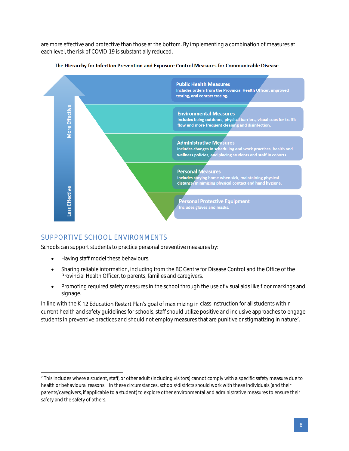are more effective and protective than those at the bottom. By implementing a combination of measures at each level, the risk of COVID-19 is substantially reduced.



#### The Hierarchy for Infection Prevention and Exposure Control Measures for Communicable Disease

### <span id="page-7-0"></span>SUPPORTIVE SCHOOL ENVIRONMENTS

Schools can support students to practice personal preventive measures by:

- Having staff model these behaviours.
- Sharing reliable information, including from the BC Centre for Disease Control and the Office of the Provincial Health Officer, to parents, families and caregivers.
- Promoting required safety measures in the school through the use of visual aids like floor markings and signage.

In line with the K-12 Education Restart Plan's goal of maximizing in-class instruction for all students within current health and safety guidelines for schools, staff should utilize positive and inclusive approaches to engage students in preventive practices and should not employ measures that are punitive or stigmatizing in nature<sup>2</sup>.

<sup>&</sup>lt;sup>2</sup> This includes where a student, staff, or other adult (including visitors) cannot comply with a specific safety measure due to health or behavioural reasons - in these circumstances, schools/districts should work with these individuals (and their parents/caregivers, if applicable to a student) to explore other environmental and administrative measures to ensure their safety and the safety of others.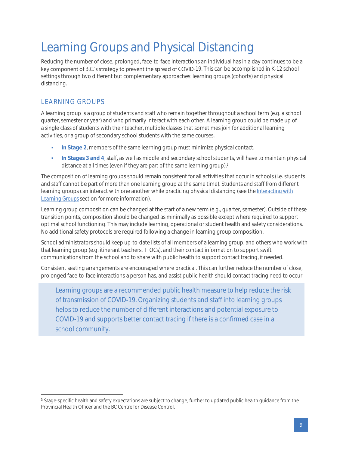# <span id="page-8-0"></span>Learning Groups and Physical Distancing

Reducing the number of close, prolonged, face-to-face interactions an individual has in a day continues to be a key component of B.C.'s strategy to prevent the spread of COVID-19. This can be accomplished in K-12 school settings through two different but complementary approaches: learning groups (cohorts) and physical distancing.

## <span id="page-8-1"></span>LEARNING GROUPS

A learning group is a group of students and staff who remain together throughout a school term (e.g. a school quarter, semester or year) and who primarily interact with each other. A learning group could be made up of a single class of students with their teacher, multiple classes that sometimes join for additional learning activities, or a group of secondary school students with the same courses.

- **In Stage 2, members of the same learning group must minimize physical contact.**
- **In Stages 3 and 4**, staff, as well as middle and secondary school students, will have to maintain physical distance at all times (even if they are part of the same learning group).<sup>3</sup>

The composition of learning groups should remain consistent for all activities that occur in schools (i.e. students and staff cannot be part of more than one learning group at the same time). Students and staff from different learning groups can interact with one another while practicing physical distancing (see the *[Interacting with](#page-10-0)  [Learning Groups](#page-10-0)*section for more information).

Learning group composition can be changed at the start of a new term (e.g., quarter, semester). Outside of these transition points, composition should be changed as minimally as possible except where required to support optimal school functioning. This may include learning, operational or student health and safety considerations. No additional safety protocols are required following a change in learning group composition.

School administrators should keep up-to-date lists of all members of a learning group, and others who work with that learning group (e.g. itinerant teachers, TTOCs), and their contact information to support swift communications from the school and to share with public health to support contact tracing, if needed.

Consistent seating arrangements are encouraged where practical. This can further reduce the number of close, prolonged face-to-face interactions a person has, and assist public health should contact tracing need to occur.

Learning groups are a recommended public health measure to help reduce the risk of transmission of COVID-19. Organizing students and staff into learning groups helps to reduce the number of different interactions and potential exposure to COVID-19 and supports better contact tracing if there is a confirmed case in a school community.

<sup>&</sup>lt;sup>3</sup> Stage-specific health and safety expectations are subject to change, further to updated public health guidance from the Provincial Health Officer and the BC Centre for Disease Control.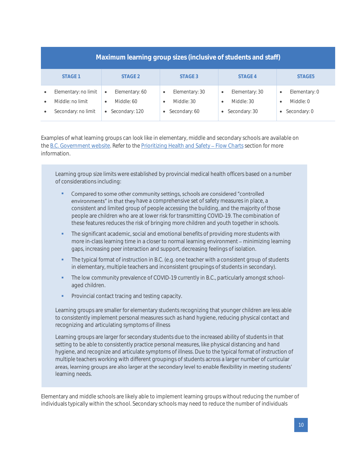| Maximum learning group sizes (inclusive of students and staff)                                         |                                                                            |                                                                                      |                                                                         |                                                                   |
|--------------------------------------------------------------------------------------------------------|----------------------------------------------------------------------------|--------------------------------------------------------------------------------------|-------------------------------------------------------------------------|-------------------------------------------------------------------|
| STAGE 1                                                                                                | STAGE <sub>2</sub>                                                         | STAGE 3                                                                              | STAGF4                                                                  | STAGF5                                                            |
| Elementary: no limit<br>$\bullet$<br>Middle: no limit<br>$\bullet$<br>Secondary: no limit<br>$\bullet$ | Elementary: 60<br>$\bullet$<br>Middle: 60<br>$\bullet$<br>• Secondary: 120 | Elementary: 30<br>$\bullet$<br>Middle: 30<br>$\bullet$<br>Secondary: 60<br>$\bullet$ | Elementary: 30<br>$\bullet$<br>Middle: 30<br>$\bullet$<br>Secondary: 30 | Elementary: 0<br>$\bullet$<br>Middle: 0<br>٠<br>Secondary: 0<br>٠ |

Examples of what learning groups can look like in elementary, middle and secondary schools are available on the [B.C. Government website.](https://www2.gov.bc.ca/gov/content/education-training/k-12/covid-19-return-to-school#learning-group) Refer to the Prioritizing Health and Safety - Flow Charts section for more information.

Learning group size limits were established by provincial medical health officers based on a number of considerations including:

- Compared to some other community settings, schools are considered "controlled environments" in that they have a comprehensive set of safety measures in place, a consistent and limited group of people accessing the building, and the majority of those people are children who are at lower risk for transmitting COVID-19. The combination of these features reduces the risk of bringing more children and youth together in schools.
- The significant academic, social and emotional benefits of providing more students with more in-class learning time in a closer to normal learning environment – minimizing learning gaps, increasing peer interaction and support, decreasing feelings of isolation.
- The typical format of instruction in B.C. (e.g. one teacher with a consistent group of students in elementary, multiple teachers and inconsistent groupings of students in secondary).
- **•** The low community prevalence of COVID-19 currently in B.C., particularly amongst schoolaged children.
- Provincial contact tracing and testing capacity.

Learning groups are smaller for elementary students recognizing that younger children are less able to consistently implement personal measures such as hand hygiene, reducing physical contact and recognizing and articulating symptoms of illness

Learning groups are larger for secondary students due to the increased ability of students in that setting to be able to consistently practice personal measures, like physical distancing and hand hygiene, and recognize and articulate symptoms of illness. Due to the typical format of instruction of multiple teachers working with different groupings of students across a larger number of curricular areas, learning groups are also larger at the secondary level to enable flexibility in meeting students' learning needs.

Elementary and middle schools are likely able to implement learning groups without reducing the number of individuals typically within the school. Secondary schools may need to reduce the number of individuals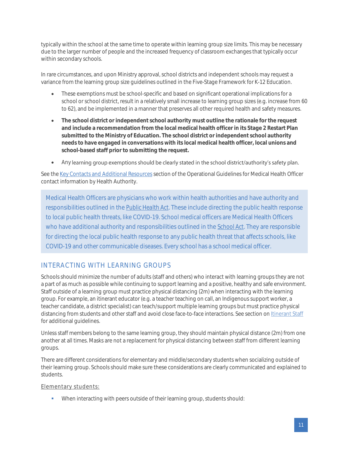typically within the school at the same time to operate within learning group size limits. This may be necessary due to the larger number of people and the increased frequency of classroom exchanges that typically occur within secondary schools.

In rare circumstances, and upon Ministry approval, school districts and independent schools may request a variance from the learning group size guidelines outlined in the Five-Stage Framework for K-12 Education.

- These exemptions must be school-specific and based on significant operational implications for a school or school district, result in a relatively small increase to learning group sizes (e.g. increase from 60 to 62), and be implemented in a manner that preserves all other required health and safety measures.
- **The school district or independent school authority must outline the rationale for the request and include a recommendation from the local medical health officer in its Stage 2 Restart Plan submitted to the Ministry of Education. The school district or independent school authority needs to have engaged in conversations with its local medical health officer, local unions and school-based staff prior to submitting the request.**
- Any learning group exemptions should be clearly stated in the school district/authority's safety plan.

See th[e Key Contacts and](https://www.openschool.bc.ca/covidguidelines/#admin) Additional Resources section of the Operational Guidelines for Medical Health Officer contact information by Health Authority.

Medical Health Officers are physicians who work within health authorities and have authority and responsibilities outlined in the *[Public Health Act](https://www2.gov.bc.ca/gov/content/health/about-bc-s-health-care-system/legislation/public-health-act)*. These include directing the public health response to local public health threats, like COVID-19. School medical officers are Medical Health Officers who have additional authority and responsibilities outlined in the *[School Act](https://www2.gov.bc.ca/assets/gov/education/administration/legislation-policy/legislation/schoollaw/revisedstatutescontents.pdf)*. They are responsible for directing the local public health response to any public health threat that affects schools, like COVID-19 and other communicable diseases. Every school has a school medical officer.

## <span id="page-10-0"></span>INTERACTING WITH LEARNING GROUPS

Schools should minimize the number of adults (staff and others) who interact with learning groups they are not a part of as much as possible while continuing to support learning and a positive, healthy and safe environment. Staff outside of a learning group must practice physical distancing (2m) when interacting with the learning group. For example, an itinerant educator (e.g. a teacher teaching on call, an Indigenous support worker, a teacher candidate, a district specialist) can teach/support multiple learning groups but must practice physical distancing from students and other staff and avoid close face-to-face interactions. See section o[n Itinerant Staff](#page-11-1) for additional guidelines.

Unless staff members belong to the same learning group, they should maintain physical distance (2m) from one another at all times. Masks are not a replacement for physical distancing between staff from different learning groups.

There are different considerations for elementary and middle/secondary students when socializing outside of their learning group. Schools should make sure these considerations are clearly communicated and explained to students.

Elementary students:

▪ When interacting with peers outside of their learning group, students should: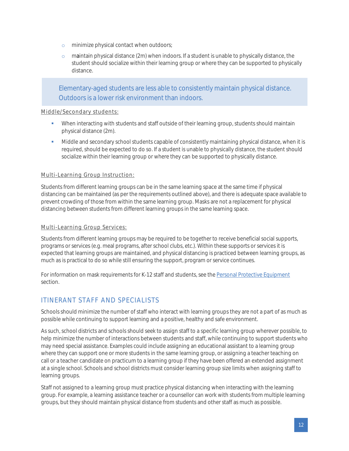- o minimize physical contact when outdoors;
- $\circ$  maintain physical distance (2m) when indoors. If a student is unable to physically distance, the student should socialize within their learning group or where they can be supported to physically distance.

Elementary-aged students are less able to consistently maintain physical distance. Outdoors is a lower risk environment than indoors.

#### Middle/Secondary students:

- **•** When interacting with students and staff outside of their learning group, students should maintain physical distance (2m).
- Middle and secondary school students capable of consistently maintaining physical distance, when it is required, should be expected to do so. If a student is unable to physically distance, the student should socialize within their learning group or where they can be supported to physically distance.

#### Multi-Learning Group Instruction:

Students from different learning groups can be in the same learning space at the same time if physical distancing can be maintained (as per the requirements outlined above), and there is adequate space available to prevent crowding of those from within the same learning group. Masks are not a replacement for physical distancing between students from different learning groups in the same learning space.

#### Multi-Learning Group Services:

Students from different learning groups may be required to be together to receive beneficial social supports, programs or services (e.g. meal programs, after school clubs, etc.). Within these supports or services it is expected that learning groups are maintained, and physical distancing is practiced between learning groups, as much as is practical to do so while still ensuring the support, program or service continues.

<span id="page-11-1"></span>For information on mask requirements for K-12 staff and students, see the [Personal Protective Equipment](#page-27-1) section.

### <span id="page-11-0"></span>ITINERANT STAFF AND SPECIALISTS

Schools should minimize the number of staff who interact with learning groups they are not a part of as much as possible while continuing to support learning and a positive, healthy and safe environment.

As such, school districts and schools should seek to assign staff to a specific learning group wherever possible, to help minimize the number of interactions between students and staff, while continuing to support students who may need special assistance. Examples could include assigning an educational assistant to a learning group where they can support one or more students in the same learning group, or assigning a teacher teaching on call or a teacher candidate on practicum to a learning group if they have been offered an extended assignment at a single school. Schools and school districts must consider learning group size limits when assigning staff to learning groups.

Staff not assigned to a learning group must practice physical distancing when interacting with the learning group. For example, a learning assistance teacher or a counsellor can work with students from multiple learning groups, but they should maintain physical distance from students and other staff as much as possible.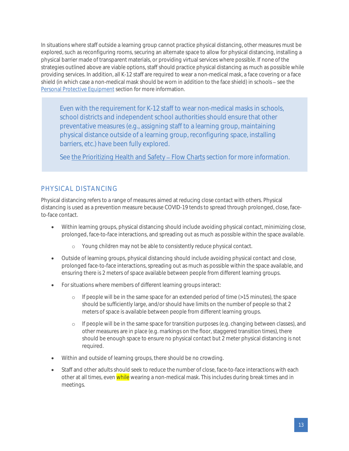In situations where staff outside a learning group cannot practice physical distancing, other measures must be explored, such as reconfiguring rooms, securing an alternate space to allow for physical distancing, installing a physical barrier made of transparent materials, or providing virtual services where possible. If none of the strategies outlined above are viable options, staff should practice physical distancing as much as possible while providing services. In addition, all K-12 staff are required to wear a non-medical mask, a face covering or a face shield (in which case a non-medical mask should be worn in addition to the face shield) in schools - see the [Personal Protective Equipment](#page-27-1) section for more information.

Even with the requirement for K-12 staff to wear non-medical masks in schools, school districts and independent school authorities should ensure that other preventative measures (e.g., assigning staff to a learning group, maintaining physical distance outside of a learning group, reconfiguring space, installing barriers, etc.) have been fully explored.

See the Prioritizing Health and Safety - Flow Charts section for more information.

## <span id="page-12-0"></span>PHYSICAL DISTANCING

Physical distancing refers to a range of measures aimed at reducing close contact with others. Physical distancing is used as a prevention measure because COVID-19 tends to spread through prolonged, close, faceto-face contact.

- Within learning groups, physical distancing should include avoiding physical contact, minimizing close, prolonged, face-to-face interactions, and spreading out as much as possible within the space available.
	- o Young children may not be able to consistently reduce physical contact.
- Outside of learning groups, physical distancing should include avoiding physical contact and close, prolonged face-to-face interactions, spreading out as much as possible within the space available, and ensuring there is 2 meters of space available between people from different learning groups.
- For situations where members of different learning groups interact:
	- o If people will be in the same space for an extended period of time (>15 minutes), the space should be sufficiently large, and/or should have limits on the number of people so that 2 meters of space is available between people from different learning groups.
	- o If people will be in the same space for transition purposes (e.g. changing between classes), and other measures are in place (e.g. markings on the floor, staggered transition times), there should be enough space to ensure no physical contact but 2 meter physical distancing is not required.
- Within and outside of learning groups, there should be no crowding.
- Staff and other adults should seek to reduce the number of close, face-to-face interactions with each other at all times, even while wearing a non-medical mask. This includes during break times and in meetings.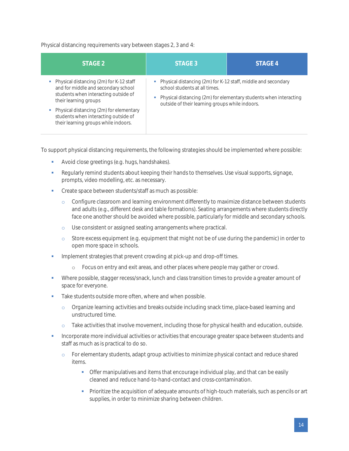Physical distancing requirements vary between stages 2, 3 and 4:

| STAGE 2                                                                                                                                                                                                                                                                    | STAGE 3                                                                                                                                             | STAGE 4                                                             |
|----------------------------------------------------------------------------------------------------------------------------------------------------------------------------------------------------------------------------------------------------------------------------|-----------------------------------------------------------------------------------------------------------------------------------------------------|---------------------------------------------------------------------|
| Physical distancing (2m) for K-12 staff<br>and for middle and secondary school<br>students when interacting outside of<br>their learning groups<br>Physical distancing (2m) for elementary<br>students when interacting outside of<br>their learning groups while indoors. | • Physical distancing (2m) for K-12 staff, middle and secondary<br>school students at all times.<br>outside of their learning groups while indoors. | • Physical distancing (2m) for elementary students when interacting |

To support physical distancing requirements, the following strategies should be implemented where possible:

- Avoid close greetings (e.g. hugs, handshakes).
- **Regularly remind students about keeping their hands to themselves. Use visual supports, signage,** prompts, video modelling, etc. as necessary.
- Create space between students/staff as much as possible:
	- o Configure classroom and learning environment differently to maximize distance between students and adults (e.g., different desk and table formations). Seating arrangements where students directly face one another should be avoided where possible, particularly for middle and secondary schools.
	- o Use consistent or assigned seating arrangements where practical.
	- o Store excess equipment (e.g. equipment that might not be of use during the pandemic) in order to open more space in schools.
- **•** Implement strategies that prevent crowding at pick-up and drop-off times.
	- o Focus on entry and exit areas, and other places where people may gather or crowd.
- **•** Where possible, stagger recess/snack, lunch and class transition times to provide a greater amount of space for everyone.
- Take students outside more often, where and when possible.
	- o Organize learning activities and breaks outside including snack time, place-based learning and unstructured time.
	- o Take activities that involve movement, including those for physical health and education, outside.
- Incorporate more individual activities or activities that encourage greater space between students and staff as much as is practical to do so.
	- o For elementary students, adapt group activities to minimize physical contact and reduce shared items.
		- **•** Offer manipulatives and items that encourage individual play, and that can be easily cleaned and reduce hand-to-hand-contact and cross-contamination.
		- **•** Prioritize the acquisition of adequate amounts of high-touch materials, such as pencils or art supplies, in order to minimize sharing between children.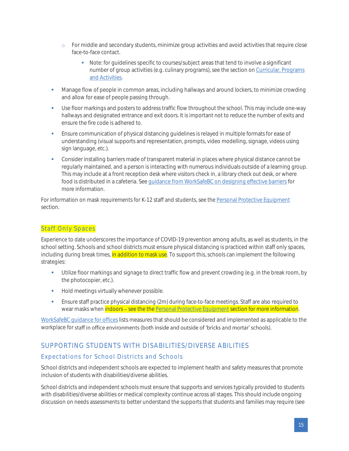- o For middle and secondary students, minimize group activities and avoid activities that require close face-to-face contact.
	- Note: for guidelines specific to courses/subject areas that tend to involve a significant number of group activities (e.g. culinary programs), see the section o[n Curricular, Programs](#page-31-0)  [and Activities.](#page-31-0)
- **■** Manage flow of people in common areas, including hallways and around lockers, to minimize crowding and allow for ease of people passing through.
- **•** Use floor markings and posters to address traffic flow throughout the school. This may include one-way hallways and designated entrance and exit doors. It is important not to reduce the number of exits and ensure the fire code is adhered to.
- **Ensure communication of physical distancing guidelines is relayed in multiple formats for ease of** understanding (visual supports and representation, prompts, video modelling, signage, videos using sign language, etc.).
- Consider installing barriers made of transparent material in places where physical distance cannot be regularly maintained, and a person is interacting with numerous individuals outside of a learning group. This may include at a front reception desk where visitors check in, a library check out desk, or where food is distributed in a cafeteria. Se[e guidance from WorkSafeBC on designing effective barriers](https://www.worksafebc.com/en/resources/health-safety/information-sheets/covid-19-health-safety-designing-effective-barriers?lang=en) for more information.

For information on mask requirements for K-12 staff and students, see the [Personal Protective Equipment](#page-27-1) section.

#### <span id="page-14-0"></span>Staff Only Spaces

Experience to date underscores the importance of COVID-19 prevention among adults, as well as students, in the school setting. Schools and school districts must ensure physical distancing is practiced within staff only spaces, including during break times, in addition to mask use. To support this, schools can implement the following strategies:

- Utilize floor markings and signage to direct traffic flow and prevent crowding (e.g. in the break room, by the photocopier, etc.).
- **•** Hold meetings virtually whenever possible.
- **•** Ensure staff practice physical distancing (2m) during face-to-face meetings. Staff are also required to wear masks when indoors - see the th[e Personal Protective Equipment](#page-27-1) section for more information.

[WorkSafeBC guidance for offices](https://www.worksafebc.com/en/about-us/covid-19-updates/covid-19-returning-safe-operation/offices) lists measures that should be considered and implemented as applicable to the workplace for staff in office environments (both inside and outside of 'bricks and mortar' schools).

## <span id="page-14-1"></span>SUPPORTING STUDENTS WITH DISABILITIES/DIVERSE ABILITIES

#### <span id="page-14-2"></span>Expectations for School Districts and Schools

School districts and independent schools are expected to implement health and safety measures that promote inclusion of students with disabilities/diverse abilities.

School districts and independent schools must ensure that supports and services typically provided to students with disabilities/diverse abilities or medical complexity continue across all stages. This should include ongoing discussion on needs assessments to better understand the supports that students and families may require (see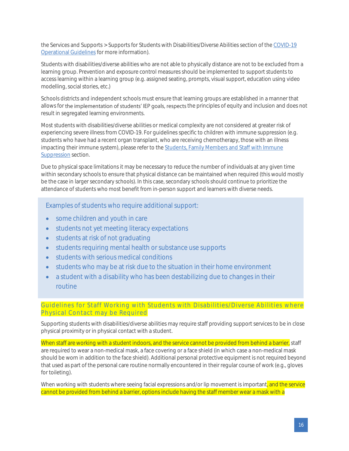the Services and Supports > Supports for Students with Disabilities/Diverse Abilities section of the [COVID-19](https://www.openschool.bc.ca/covidguidelines/#additional)  [Operational Guidelines](https://www.openschool.bc.ca/covidguidelines/#additional) for more information).

Students with disabilities/diverse abilities who are not able to physically distance are not to be excluded from a learning group. Prevention and exposure control measures should be implemented to support students to access learning within a learning group (e.g. assigned seating, prompts, visual support, education using video modelling, social stories, etc.)

Schools districts and independent schools must ensure that learning groups are established in a manner that allows for the implementation of students' IEP goals, respects the principles of equity and inclusion and does not result in segregated learning environments.

Most students with disabilities/diverse abilities or medical complexity are not considered at greater risk of experiencing severe illness from COVID-19. For guidelines specific to children with immune suppression (e.g. students who have had a recent organ transplant, who are receiving chemotherapy, those with an illness impacting their immune system), please refer to the **[Students, Family Members and Staff](#page-22-2) with Immune** [Suppression](#page-22-2) section.

Due to physical space limitations it may be necessary to reduce the number of individuals at any given time within secondary schools to ensure that physical distance can be maintained when required (this would mostly be the case in larger secondary schools). In this case, secondary schools should continue to prioritize the attendance of students who most benefit from in-person support and learners with diverse needs.

Examples of students who require additional support:

- some children and youth in care
- students not yet meeting literacy expectations
- students at risk of not graduating
- students requiring mental health or substance use supports
- students with serious medical conditions
- students who may be at risk due to the situation in their home environment
- a student with a disability who has been destabilizing due to changes in their routine

#### <span id="page-15-0"></span>Guidelines for Staff Working with Students with Disabilities/Diverse Abilities where Physical Contact may be Required

Supporting students with disabilities/diverse abilities may require staff providing support services to be in close physical proximity or in physical contact with a student.

When staff are working with a student indoors, and the service cannot be provided from behind a barrier, staff are required to wear a non-medical mask, a face covering or a face shield (in which case a non-medical mask should be worn in addition to the face shield). Additional personal protective equipment is not required beyond that used as part of the personal care routine normally encountered in their regular course of work (e.g., gloves for toileting).

When working with students where seeing facial expressions and/or lip movement is important, and the service cannot be provided from behind a barrier, options include having the staff member wear a mask with a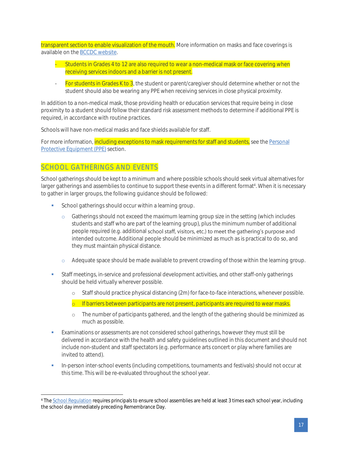transparent section to enable visualization of the mouth. More information on masks and face coverings is available on th[e BCCDC website.](http://www.bccdc.ca/health-info/diseases-conditions/covid-19/prevention-risks/masks)

- Students in Grades 4 to 12 are also required to wear a non-medical mask or face covering when receiving services indoors and a barrier is not present.
- For students in Grades K to 3, the student or parent/caregiver should determine whether or not the student should also be wearing any PPE when receiving services in close physical proximity.

In addition to a non-medical mask, those providing health or education services that require being in close proximity to a student should follow their standard risk assessment methods to determine if additional PPE is required, in accordance with routine practices.

Schools will have non-medical masks and face shields available for staff.

For more information, including exceptions to mask requirements for staff and students, see the Personal [Protective Equipment \(PPE\)](#page-27-1) section.

### <span id="page-16-0"></span>SCHOOL GATHERINGS AND EVENTS

School gatherings should be kept to a minimum and where possible schools should seek virtual alternatives for larger gatherings and assemblies to continue to support these events in a different format<sup>4</sup>. When it is necessary to gather in larger groups, the following guidance should be followed:

- **•** School gatherings should occur within a learning group.
	- o Gatherings should not exceed the maximum learning group size in the setting (which includes students and staff who are part of the learning group), plus the minimum number of additional people required (e.g. additional school staff, visitors, etc.) to meet the gathering's purpose and intended outcome. Additional people should be minimized as much as is practical to do so, and they must maintain physical distance.
	- o Adequate space should be made available to prevent crowding of those within the learning group.
- **•** Staff meetings, in-service and professional development activities, and other staff-only gatherings should be held virtually wherever possible.
	- o Staff should practice physical distancing (2m) for face-to-face interactions, whenever possible.
	- o If barriers between participants are not present, participants are required to wear masks.
	- o The number of participants gathered, and the length of the gathering should be minimized as much as possible.
- Examinations or assessments are not considered school gatherings, however they must still be delivered in accordance with the health and safety guidelines outlined in this document and should not include non-student and staff spectators (e.g. performance arts concert or play where families are invited to attend).
- In-person inter-school events (including competitions, tournaments and festivals) should not occur at this time. This will be re-evaluated throughout the school year.

<sup>&</sup>lt;sup>4</sup> Th[e School Regulation](https://www.bclaws.ca/civix/document/id/complete/statreg/265_89#section5) requires principals to ensure school assemblies are held at least 3 times each school year, including the school day immediately preceding Remembrance Day.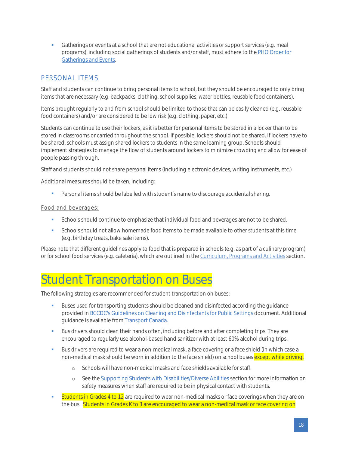**•** Gatherings or events at a school that are not educational activities or support services (e.g. meal programs), including social gatherings of students and/or staff, must adhere to th[e PHO Order for](https://www2.gov.bc.ca/assets/gov/health/about-bc-s-health-care-system/office-of-the-provincial-health-officer/covid-19/covid-19-pho-order-gatherings-events.pdf)  [Gatherings and Events.](https://www2.gov.bc.ca/assets/gov/health/about-bc-s-health-care-system/office-of-the-provincial-health-officer/covid-19/covid-19-pho-order-gatherings-events.pdf) 

## <span id="page-17-0"></span>PERSONAL ITEMS

Staff and students can continue to bring personal items to school, but they should be encouraged to only bring items that are necessary (e.g. backpacks, clothing, school supplies, water bottles, reusable food containers).

Items brought regularly to and from school should be limited to those that can be easily cleaned (e.g. reusable food containers) and/or are considered to be low risk (e.g. clothing, paper, etc.).

Students can continue to use their lockers, as it is better for personal items to be stored in a locker than to be stored in classrooms or carried throughout the school. If possible, lockers should not be shared. If lockers have to be shared, schools must assign shared lockers to students in the same learning group. Schools should implement strategies to manage the flow of students around lockers to minimize crowding and allow for ease of people passing through.

Staff and students should not share personal items (including electronic devices, writing instruments, etc.)

Additional measures should be taken, including:

▪ Personal items should be labelled with student's name to discourage accidental sharing.

#### Food and beverages:

- **•** Schools should continue to emphasize that individual food and beverages are not to be shared.
- Schools should not allow homemade food items to be made available to other students at this time (e.g. birthday treats, bake sale items).

Please note that different guidelines apply to food that is prepared in schools (e.g. as part of a culinary program) or for school food services (e.g. cafeteria), which are outlined in th[e Curriculum, Programs and Activities](#page-31-0) section.

## <span id="page-17-1"></span>Student Transportation on Buses

The following strategies are recommended for student transportation on buses:

- **Buses used for transporting students should be cleaned and disinfected according the guidance** provided in [BCCDC's Guidelines on Cleaning and Disinfectants for Public Settings](http://www.bccdc.ca/Health-Info-Site/Documents/CleaningDisinfecting_PublicSettings.pdf) document. Additional guidance is available from [Transport Canada.](https://www2.tc.gc.ca/en/services/road/federal-guidance-school-bus-operations-during-covid-19-pandemic.html)
- **■** Bus drivers should clean their hands often, including before and after completing trips. They are encouraged to regularly use alcohol-based hand sanitizer with at least 60% alcohol during trips.
- **Bus drivers are required to wear a non-medical mask, a face covering or a face shield (in which case a** non-medical mask should be worn in addition to the face shield) on school buses except while driving.
	- o Schools will have non-medical masks and face shields available for staff.
	- o See the Supporting Students with Disabilities/Diverse Abilities section for more information on safety measures when staff are required to be in physical contact with students.
- **Students in Grades 4 to 12** are required to wear non-medical masks or face coverings when they are on the bus. Students in Grades K to 3 are encouraged to wear a non-medical mask or face covering on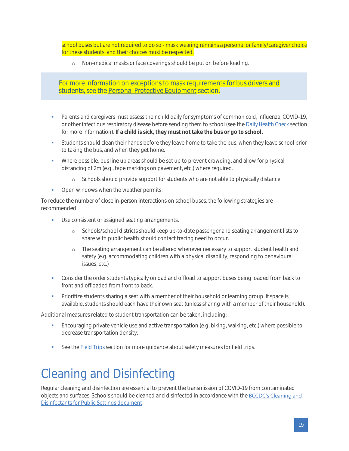school buses but are not required to do so - mask wearing remains a personal or family/caregiver choice for these students, and their choices must be respected.

o Non-medical masks or face coverings should be put on before loading.

For more information on exceptions to mask requirements for bus drivers and students, see the [Personal Protective Equipment](#page-27-1) section.

- **•** Parents and caregivers must assess their child daily for symptoms of common cold, influenza, COVID-19, or other infectious respiratory disease before sending them to school (see the *[Daily Health Check](#page-24-0)* section for more information). **If a child is sick, they must not take the bus or go to school.**
- **•** Students should clean their hands before they leave home to take the bus, when they leave school prior to taking the bus, and when they get home.
- Where possible, bus line up areas should be set up to prevent crowding, and allow for physical distancing of 2m (e.g., tape markings on pavement, etc.) where required.
	- o Schools should provide support for students who are not able to physically distance.
- Open windows when the weather permits.

To reduce the number of close in-person interactions on school buses, the following strategies are recommended:

- **■** Use consistent or assigned seating arrangements.
	- o Schools/school districts should keep up-to-date passenger and seating arrangement lists to share with public health should contact tracing need to occur.
	- o The seating arrangement can be altered whenever necessary to support student health and safety (e.g. accommodating children with a physical disability, responding to behavioural issues, etc.)
- **•** Consider the order students typically onload and offload to support buses being loaded from back to front and offloaded from front to back.
- Prioritize students sharing a seat with a member of their household or learning group. If space is available, students should each have their own seat (unless sharing with a member of their household).

Additional measures related to student transportation can be taken, including:

- **Encouraging private vehicle use and active transportation (e.g. biking, walking, etc.) where possible to** decrease transportation density.
- See th[e Field Trips](#page-33-1) section for more quidance about safety measures for field trips.

## <span id="page-18-0"></span>Cleaning and Disinfecting

Regular cleaning and disinfection are essential to prevent the transmission of COVID-19 from contaminated objectsand surfaces. Schools should be cleaned and disinfected in accordance with the BCCDC's Cleaning and [Disinfectants for Public Settings document.](http://www.bccdc.ca/Health-Info-Site/Documents/CleaningDisinfecting_PublicSettings.pdf)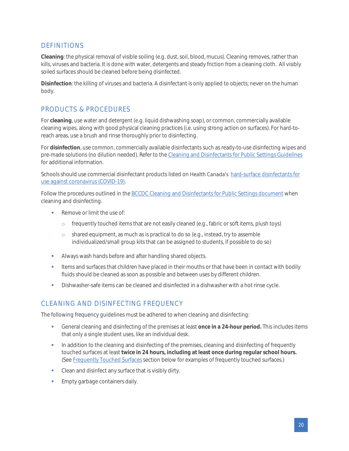## <span id="page-19-0"></span>DEFINITIONS

**Cleaning**: the physical removal of visible soiling (e.g. dust, soil, blood, mucus). Cleaning removes, rather than kills, viruses and bacteria. It is done with water, detergents and steady friction from a cleaning cloth. All visibly soiled surfaces should be cleaned before being disinfected.

**Disinfection**: the killing of viruses and bacteria. A disinfectant is only applied to objects; never on the human body.

## <span id="page-19-1"></span>PRODUCTS & PROCEDURES

For **cleaning**, use water and detergent (e.g. liquid dishwashing soap), or common, commercially available cleaning wipes, along with good physical cleaning practices (i.e. using strong action on surfaces). For hard-toreach areas, use a brush and rinse thoroughly prior to disinfecting.

For **disinfection**, use common, commercially available disinfectants such as ready-to-use disinfecting wipes and pre-made solutions (no dilution needed). Refer to th[e Cleaning and Disinfectants for Public Settings Guidelines](http://www.bccdc.ca/Health-Info-Site/Documents/CleaningDisinfecting_PublicSettings.pdf) for additional information.

Schools should use commercial disinfectant products listed on Health Canada's hard-surface disinfectants for [use against coronavirus \(COVID-19\).](https://www.canada.ca/en/health-canada/services/drugs-health-products/disinfectants/covid-19/list.html)

Follow the procedures outlined in the [BCCDC Cleaning and Disinfectants for Public Settings document](http://www.bccdc.ca/Health-Info-Site/Documents/CleaningDisinfecting_PublicSettings.pdf) when cleaning and disinfecting.

- Remove or limit the use of:
	- $\circ$  frequently touched items that are not easily cleaned (e.g., fabric or soft items, plush toys)
	- o shared equipment, as much as is practical to do so (e.g., instead, try to assemble individualized/small group kits that can be assigned to students, if possible to do so)
- **■** Always wash hands before and after handling shared objects.
- Items and surfaces that children have placed in their mouths or that have been in contact with bodily fluids should be cleaned as soon as possible and between uses by different children.
- **•** Dishwasher-safe items can be cleaned and disinfected in a dishwasher with a hot rinse cycle.

### <span id="page-19-2"></span>CLEANING AND DISINFECTING FREQUENCY

The following frequency guidelines must be adhered to when cleaning and disinfecting:

- General cleaning and disinfecting of the premises at least **once in a 24-hour period.** This includes items that only a single student uses, like an individual desk.
- **•** In addition to the cleaning and disinfecting of the premises, cleaning and disinfecting of frequently touched surfaces at least **twice in 24 hours, including at least once during regular school hours.** (See [Frequently Touched Surfaces](#page-20-0) section below for examples of frequently touched surfaces.)
- Clean and disinfect any surface that is visibly dirty.
- **Empty garbage containers daily.**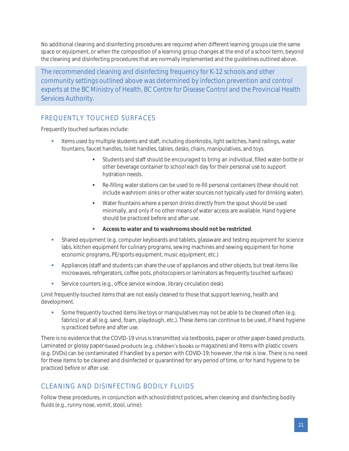No additional cleaning and disinfecting procedures are required when different learning groups use the same space or equipment, or when the composition of a learning group changes at the end of a school term, beyond the cleaning and disinfecting procedures that are normally implemented and the guidelines outlined above.

The recommended cleaning and disinfecting frequency for K-12 schools and other community settings outlined above was determined by infection prevention and control experts at the BC Ministry of Health, BC Centre for Disease Control and the Provincial Health Services Authority.

## <span id="page-20-0"></span>FREQUENTLY TOUCHED SURFACES

Frequently touched surfaces include:

- **■** Items used by multiple students and staff, including doorknobs, light switches, hand railings, water fountains, faucet handles, toilet handles, tables, desks, chairs, manipulatives, and toys.
	- Students and staff should be encouraged to bring an individual, filled water-bottle or other beverage container to school each day for their personal use to support hydration needs.
	- Re-filling water stations can be used to re-fill personal containers (these should not include washroom sinks or other water sources not typically used for drinking water).
	- Water fountains where a person drinks directly from the spout should be used minimally, and only if no other means of water access are available. Hand hygiene should be practiced before and after use.
	- **Access to water and to washrooms should not be restricted**.
- **•** Shared equipment (e.g. computer keyboards and tablets, glassware and testing equipment for science labs, kitchen equipment for culinary programs, sewing machines and sewing equipment for home economic programs, PE/sports equipment, music equipment, etc.)
- **•** Appliances (staff and students can share the use of appliances and other objects, but treat items like microwaves, refrigerators, coffee pots, photocopiers or laminators as frequently touched surfaces)
- **EXECT** Service counters (e.g., office service window, library circulation desk)

Limit frequently-touched items that are not easily cleaned to those that support learning, health and development.

Some frequently touched items like toys or manipulatives may not be able to be cleaned often (e.g. fabrics) or at all (e.g. sand, foam, playdough, etc.). These items can continue to be used, if hand hygiene is practiced before and after use.

There is no evidence that the COVID-19 virus is transmitted via textbooks, paper or other paper-based products. Laminated or glossy paper-based products (e.g. children's books or magazines) and items with plastic covers (e.g. DVDs) can be contaminated if handled by a person with COVID-19; however, the risk is low. There is no need for these items to be cleaned and disinfected or quarantined for any period of time, or for hand hygiene to be practiced before or after use.

## <span id="page-20-1"></span>CLEANING AND DISINFECTING BODILY FLUIDS

Follow these procedures, in conjunction with school/district policies, when cleaning and disinfecting bodily fluids (e.g., runny nose, vomit, stool, urine):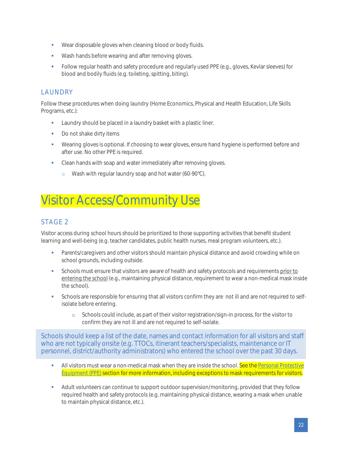- Wear disposable gloves when cleaning blood or body fluids.
- Wash hands before wearing and after removing gloves.
- **•** Follow regular health and safety procedure and regularly used PPE (e.g., gloves, Kevlar sleeves) for blood and bodily fluids (e.g. toileting, spitting, biting).

### <span id="page-21-0"></span>**LAUNDRY**

Follow these procedures when doing laundry (Home Economics, Physical and Health Education, Life Skills Programs, etc.):

- **EXECUTE:** Laundry should be placed in a laundry basket with a plastic liner.
- Do not shake dirty items
- Wearing gloves is optional. If choosing to wear gloves, ensure hand hygiene is performed before and after use. No other PPE is required.
- **•** Clean hands with soap and water immediately after removing gloves.
	- o Wash with regular laundry soap and hot water (60-90°C).

## <span id="page-21-1"></span>Visitor Access/Community Use

## <span id="page-21-2"></span>STAGE 2

Visitor access during school hours should be prioritized to those supporting activities that benefit student learning and well-being (e.g. teacher candidates, public health nurses, meal program volunteers, etc.).

- **•** Parents/caregivers and other visitors should maintain physical distance and avoid crowding while on school grounds, including outside.
- **•** Schools must ensure that visitors are aware of health and safety protocols and requirements prior to entering the school (e.g., maintaining physical distance, requirement to wear a non-medical mask inside the school).
- Schools are responsible for ensuring that all visitors confirm they are not ill and are not required to selfisolate before entering.
	- o Schools could include, as part of their visitor registration/sign-in process, for the visitor to confirm they are not ill and are not required to self-isolate.

Schools should keep a list of the date, names and contact information for all visitors and staff who are not typically onsite (e.g. TTOCs, itinerant teachers/specialists, maintenance or IT personnel, district/authority administrators) who entered the school over the past 30 days.

- All visitors must wear a non-medical mask when they are inside the school. See the Personal Protective [Equipment \(PPE\)](#page-27-1) section for more information, including exceptions to mask requirements for visitors.
- **•** Adult volunteers can continue to support outdoor supervision/monitoring, provided that they follow required health and safety protocols (e.g. maintaining physical distance, wearing a mask when unable to maintain physical distance, etc.).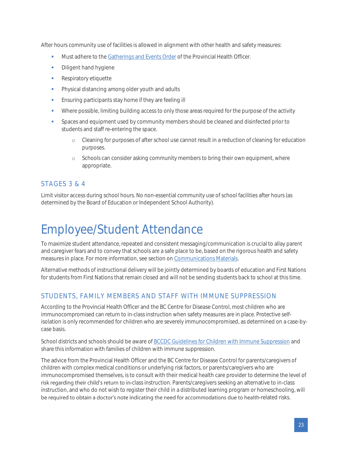After hours community use of facilities is allowed in alignment with other health and safety measures:

- Must adhere to th[e Gatherings and Events Order](https://www2.gov.bc.ca/assets/gov/health/about-bc-s-health-care-system/office-of-the-provincial-health-officer/covid-19/covid-19-pho-order-gatherings-events.pdf) of the Provincial Health Officer.
- Diligent hand hygiene
- **•** Respiratory etiquette
- **•** Physical distancing among older youth and adults
- **Ensuring participants stay home if they are feeling ill**
- Where possible, limiting building access to only those areas required for the purpose of the activity
- Spaces and equipment used by community members should be cleaned and disinfected prior to students and staff re-entering the space.
	- o Cleaning for purposes of after school use cannot result in a reduction of cleaning for education purposes.
	- o Schools can consider asking community members to bring their own equipment, where appropriate.

### <span id="page-22-0"></span>STAGES 3 & 4

Limit visitor access during school hours. No non-essential community use of school facilities after hours (as determined by the Board of Education or Independent School Authority).

# <span id="page-22-1"></span>Employee/Student Attendance

To maximize student attendance, repeated and consistent messaging/communication is crucial to allay parent and caregiver fears and to convey that schools are a safe place to be, based on the rigorous health and safety measures in place. For more information, see section on [Communications Materials.](#page-29-0)

Alternative methods of instructional delivery will be jointly determined by boards of education and First Nations for students from First Nations that remain closed and will not be sending students back to school at this time.

## <span id="page-22-2"></span>STUDENTS, FAMILY MEMBERS AND STAFF WITH IMMUNE SUPPRESSION

According to the Provincial Health Officer and the BC Centre for Disease Control, most children who are immunocompromised can return to in-class instruction when safety measures are in place. Protective selfisolation is only recommended for children who are severely immunocompromised, as determined on a case-bycase basis.

School districts and schools should be aware of [BCCDC Guidelines for Children with Immune Suppression](http://www.bccdc.ca/health-info/diseases-conditions/covid-19/covid-19-and-children/children-with-immune-compromise) and share this information with families of children with immune suppression.

The advice from the Provincial Health Officer and the BC Centre for Disease Control for parents/caregivers of children with complex medical conditions or underlying risk factors, or parents/caregivers who are immunocompromised themselves, is to consult with their medical health care provider to determine the level of risk regarding their child's return to in-class instruction. Parents/caregivers seeking an alternative to in-class instruction, and who do not wish to register their child in a distributed learning program or homeschooling, will be required to obtain a doctor's note indicating the need for accommodations due to health-related risks.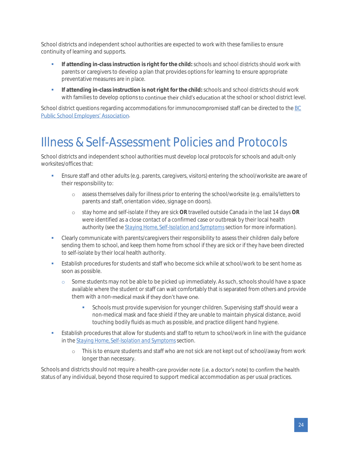School districts and independent school authorities are expected to work with these families to ensure continuity of learning and supports.

- **•** If attending in-class instruction is right for the child: schools and school districts should work with parents or caregivers to develop a plan that provides options for learning to ensure appropriate preventative measures are in place.
- **•** If attending in-class instruction is not right for the child: schools and school districts should work with families to develop options to continue their child's education at the school or school district level.

School district questions regarding accommodations for immunocompromised staff can be directed to the BC **Public School Employers' Association[.](http://bcpsea.bc.ca/about-us/contact-us/bcpsea-staff-district-liaison/)** 

## <span id="page-23-0"></span>Illness & Self-Assessment Policies and Protocols

School districts and independent school authorities must develop local protocols for schools and adult-only worksites/offices that:

- **•** Ensure staff and other adults (e.g. parents, caregivers, visitors) entering the school/worksite are aware of their responsibility to:
	- o assess themselves daily for illness prior to entering the school/worksite (e.g. emails/letters to parents and staff, orientation video, signage on doors).
	- o stay home and self-isolate if they are sick **OR** travelled outside Canada in the last 14 days **OR** were identified as a close contact of a confirmed case or outbreak by their local health authority (see the *[Staying Home, Self-Isolation and Symptoms](#page-24-1)*section for more information).
- Clearly communicate with parents/caregivers their responsibility to assess their children daily before sending them to school, and keep them home from school if they are sick or if they have been directed to self-isolate by their local health authority.
- **Establish procedures for students and staff who become sick while at school/work to be sent home as** soon as possible.
	- o Some students may not be able to be picked up immediately. As such, schools should have a space available where the student or staff can wait comfortably that is separated from others and provide them with a non-medical mask if they don't have one.
		- **•** Schools must provide supervision for younger children. Supervising staff should wear a non-medical mask and face shield if they are unable to maintain physical distance, avoid touching bodily fluids as much as possible, and practice diligent hand hygiene.
- Establish procedures that allow for students and staff to return to school/work in line with the quidance in the *[Staying Home, Self-Isolation and Symptoms](#page-24-1)*section.
	- o This is to ensure students and staff who are not sick are not kept out of school/away from work longer than necessary.

Schools and districts should not require a health-care provider note (i.e. a doctor's note) to confirm the health status of any individual, beyond those required to support medical accommodation as per usual practices.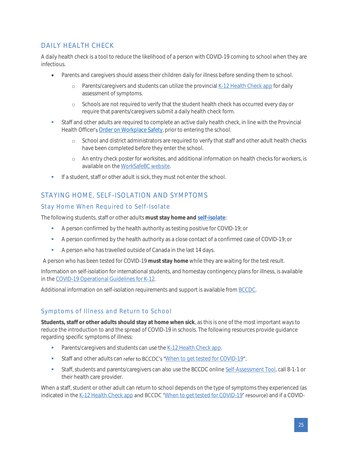## <span id="page-24-0"></span>DAILY HEALTH CHECK

A daily health check is a tool to reduce the likelihood of a person with COVID-19 coming to school when they are infectious.

- Parents and caregivers should assess their children daily for illness before sending them to school.
	- o Parents/caregivers and students can utilize the provincia[l K-12 Health Check app](https://www.k12dailycheck.gov.bc.ca/) for daily assessment of symptoms.
	- o Schools are not required to verify that the student health check has occurred every day or require that parents/caregivers submit a daily health check form.
- Staff and other adults are required to complete an active daily health check, in line with the Provincial Health Officer's [Order on Workplace Safety,](https://www2.gov.bc.ca/assets/gov/health/about-bc-s-health-care-system/office-of-the-provincial-health-officer/covid-19/covid-19-pho-order-workplace-safety.pdf) prior to entering the school.
	- o School and district administrators are required to verify that staff and other adult health checks have been completed before they enter the school.
	- o An entry check poster for worksites, and additional information on health checks for workers, is available on th[e WorkSafeBC website.](https://www.worksafebc.com/en/resources/health-safety/posters/help-prevent-spread-covid-19-entry-check-workers?lang=en)
- **■** If a student, staff or other adult is sick, they must not enter the school.

## <span id="page-24-1"></span>STAYING HOME, SELF-ISOLATION AND SYMPTOMS

#### <span id="page-24-2"></span>Stay Home When Required to Self-Isolate

The following students, staff or other adults **must stay home an[d self-isolate](http://www.bccdc.ca/health-info/diseases-conditions/covid-19/self-isolation)**:

- **•** A person confirmed by the health authority as testing positive for COVID-19; or
- A person confirmed by the health authority as a close contact of a confirmed case of COVID-19; or
- A person who has travelled outside of Canada in the last 14 days.

A person who has been tested for COVID-19 **must stay home** while they are waiting for the test result.

Information on self-isolation for international students, and homestay contingency plans for illness, is available in the [COVID-19 Operational Guidelines for K-12.](https://www.openschool.bc.ca/covidguidelines/#selfisolation)

Additional information on self-isolation requirements and support is available fro[m BCCDC.](http://www.bccdc.ca/health-info/diseases-conditions/covid-19/self-isolation)

### <span id="page-24-3"></span>Symptoms of Illness and Return to School

**Students, staff or other adults should stay at home when sick**, as this is one of the most important ways to reduce the introduction to and the spread of COVID-19 in schools. The following resources provide guidance regarding specific symptoms of illness:

- **•** Parents/caregivers and students can use th[e K-12 Health Check app.](https://www.k12dailycheck.gov.bc.ca/)
- **EXECT:** Staff and other adults can refer to BCCDC's "[When to get tested for COVID-19](http://www.bccdc.ca/Health-Info-Site/Documents/COVID_public_guidance/When_to_get_tested.pdf)".
- **•** Staff, students and parents/caregivers can also use the BCCDC onlin[e Self-Assessment Tool,](https://bc.thrive.health/) call 8-1-1 or their health care provider.

When a staff, student or other adult can return to school depends on the type of symptoms they experienced (as indicated in th[e K-12 Health Check app](https://www.k12dailycheck.gov.bc.ca/) and BCCDC "[When to get tested for COVID-19](http://www.bccdc.ca/Health-Info-Site/Documents/COVID_public_guidance/When_to_get_tested.pdf)" resource) and if a COVID-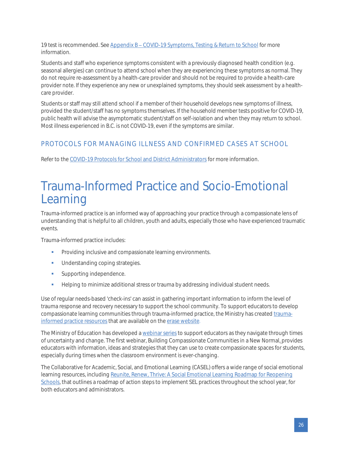19 test is recommended. See Appendix B – COVID-19 Symptoms, Testing & Return to School for more information.

Students and staff who experience symptoms consistent with a previously diagnosed health condition (e.g. seasonal allergies) can continue to attend school when they are experiencing these symptoms as normal. They do not require re-assessment by a health-care provider and should not be required to provide a health-care provider note. If they experience any new or unexplained symptoms, they should seek assessment by a healthcare provider.

Students or staff may still attend school if a member of their household develops new symptoms of illness, provided the student/staff has no symptoms themselves. If the household member tests positive for COVID-19, public health will advise the asymptomatic student/staff on self-isolation and when they may return to school. Most illness experienced in B.C. is not COVID-19, even if the symptoms are similar.

## <span id="page-25-0"></span>PROTOCOLS FOR MANAGING ILLNESS AND CONFIRMED CASES AT SCHOOL

Refer to th[e COVID-19 Protocols for School and District Administrators](https://www2.gov.bc.ca/assets/download/01C64AF4C9E24838B8FE94C58D4F5541) for more information.

## <span id="page-25-1"></span>Trauma-Informed Practice and Socio-Emotional Learning

Trauma-informed practice is an informed way of approaching your practice through a compassionate lens of understanding that is helpful to all children, youth and adults, especially those who have experienced traumatic events.

Trauma-informed practice includes:

- **•** Providing inclusive and compassionate learning environments.
- **■** Understanding coping strategies.
- Supporting independence.
- Helping to minimize additional stress or trauma by addressing individual student needs.

Use of regular needs-based 'check-ins' can assist in gathering important information to inform the level of trauma response and recovery necessary to support the school community. To support educators to develop compassionate learning communities through trauma-informed practice, the Ministry has create[d trauma](https://mytrainingbc.ca/traumainformedpractice/)[informed practice resources](https://mytrainingbc.ca/traumainformedpractice/) that are available on the [erase website](https://www2.gov.bc.ca/gov/content/erase).

The Ministry of Education has developed [a webinar series](https://www.openschool.bc.ca/webinars) to support educators as they navigate through times of uncertainty and change. The first webinar, Building Compassionate Communities in a New Normal, provides educators with information, ideas and strategies that they can use to create compassionate spaces for students, especially during times when the classroom environment is ever-changing.

The Collaborative for Academic, Social, and Emotional Learning (CASEL) offers a wide range of social emotional learning resources, includin[g Reunite, Renew, Thrive: A Social Emotional Learning Roadmap for Reopening](https://casel.org/resources-covid/https:/bit.ly/SELforReopening)  [Schools,](https://casel.org/resources-covid/https:/bit.ly/SELforReopening) that outlines a roadmap of action steps to implement SEL practices throughout the school year, for both educators and administrators.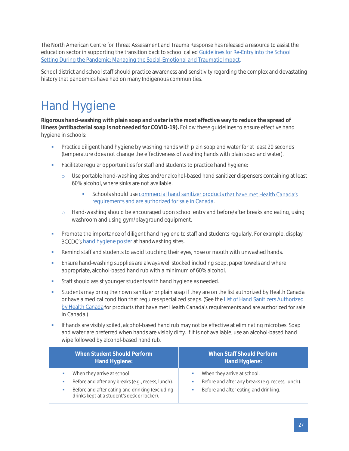The North American Centre for Threat Assessment and Trauma Response has released a resource to assist the education sector in supporting the transition back to school called [Guidelines for Re-Entry into the School](https://nactatr.com/news/files/01GuideRe-Entry.pdf)  [Setting During the Pandemic: Managing the Social-Emotional and Traumatic Impact](https://nactatr.com/news/files/01GuideRe-Entry.pdf).

School district and school staff should practice awareness and sensitivity regarding the complex and devastating history that pandemics have had on many Indigenous communities.

## <span id="page-26-0"></span>Hand Hygiene

**Rigorous hand-washing with plain soap and water is the most effective way to reduce the spread of illness (antibacterial soap is not needed for COVID-19).** Follow these guidelines to ensure effective hand hygiene in schools:

- Practice diligent hand hygiene by washing hands with plain soap and water for at least 20 seconds (temperature does not change the effectiveness of washing hands with plain soap and water).
- Facilitate regular opportunities for staff and students to practice hand hygiene:
	- o Use portable hand-washing sites and/or alcohol-based hand sanitizer dispensers containing at least 60% alcohol, where sinks are not available.
		- **•** Schools should us[e commercial hand sanitizer products](https://www.canada.ca/en/health-canada/services/drugs-health-products/disinfectants/covid-19/hand-sanitizer.html) that have met Health Canada's [requirements and are authorized for sale in Canada.](https://www.canada.ca/en/health-canada/services/drugs-health-products/disinfectants/covid-19/hand-sanitizer.html)
	- o Hand-washing should be encouraged upon school entry and before/after breaks and eating, using washroom and using gym/playground equipment.
- **•** Promote the importance of diligent hand hygiene to staff and students regularly. For example, display **BCCDC's [hand hygiene poster](http://www.bccdc.ca/health-professionals/clinical-resources/covid-19-care/signage-posters) at handwashing sites.**
- **Remind staff and students to avoid touching their eyes, nose or mouth with unwashed hands.**
- Ensure hand-washing supplies are always well stocked including soap, paper towels and where appropriate, alcohol-based hand rub with a minimum of 60% alcohol.
- **EXECTE:** Staff should assist younger students with hand hygiene as needed.
- **•** Students may bring their own sanitizer or plain soap if they are on the list authorized by Health Canada or have a medical condition that requires specialized soaps. (See the List of Hand Sanitizers Authorized [by Health Canada](https://www.canada.ca/en/health-canada/services/drugs-health-products/disinfectants/covid-19/hand-sanitizer.html) for products that have met Health Canada's requirements and are authorized for sale in Canada.)
- **•** If hands are visibly soiled, alcohol-based hand rub may not be effective at eliminating microbes. Soap and water are preferred when hands are visibly dirty. If it is not available, use an alcohol-based hand wipe followed by alcohol-based hand rub.

| When Student Should Perform                        | When Staff Should Perform                         |
|----------------------------------------------------|---------------------------------------------------|
| Hand Hygiene:                                      | Hand Hygiene:                                     |
| When they arrive at school.                        | When they arrive at school.                       |
| Before and after any breaks (e.g., recess, lunch). | ш                                                 |
| Before and after eating and drinking (excluding    | Before and after any breaks (e.g. recess, lunch). |
| drinks kept at a student's desk or locker).        | Before and after eating and drinking.             |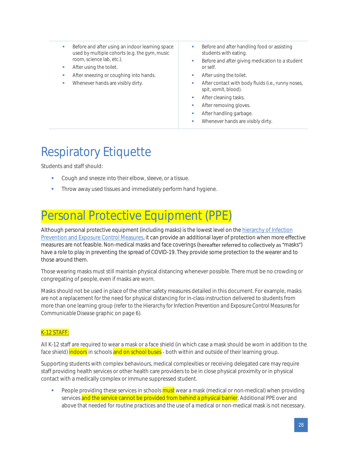- Before and after using an indoor learning space used by multiple cohorts (e.g. the gym, music room, science lab, etc.).
- After using the toilet.
- After sneezing or coughing into hands.
- Whenever hands are visibly dirty.
- Before and after handling food or assisting students with eating.
- Before and after giving medication to a student or self.
- After using the toilet.
- After contact with body fluids (i.e., runny noses, spit, vomit, blood).
- **After cleaning tasks.**
- After removing gloves.
- After handling garbage.
- Whenever hands are visibly dirty.

## <span id="page-27-0"></span>Respiratory Etiquette

Students and staff should:

- Cough and sneeze into their elbow, sleeve, or a tissue.
- Throw away used tissues and immediately perform hand hygiene.

## <span id="page-27-1"></span>Personal Protective Equipment (PPE)

Although personal protective equipment (including masks) is the lowest level on th[e hierarchy of Infection](#page-6-0)  [Prevention and Exposure Control Measures,](#page-6-0) it can provide an additional layer of protection when more effective measures are not feasible. Non-medical masks and face coverings (hereafter referred to collectively as "masks") have a role to play in preventing the spread of COVID-19. They provide some protection to the wearer and to those around them.

Those wearing masks must still maintain physical distancing whenever possible. There must be no crowding or congregating of people, even if masks are worn.

Masks should not be used in place of the other safety measures detailed in this document. For example, masks are not a replacement for the need for physical distancing for in-class instruction delivered to students from more than one learning group (refer to the *Hierarchy for Infection Prevention and Exposure Control Measures for Communicable Disease* graphic on page 6).

#### K-12 STAFF:

All K-12 staff are required to wear a mask or a face shield (in which case a mask should be worn in addition to the face shield) indoors in schools and on school buses - both within and outside of their learning group.

Supporting students with complex behaviours, medical complexities or receiving delegated care may require staff providing health services or other health care providers to be in close physical proximity or in physical contact with a medically complex or immune suppressed student.

People providing these services in schools **must** wear a mask (medical or non-medical) when providing services and the service cannot be provided from behind a physical barrier. Additional PPE over and above that needed for routine practices and the use of a medical or non-medical mask is not necessary.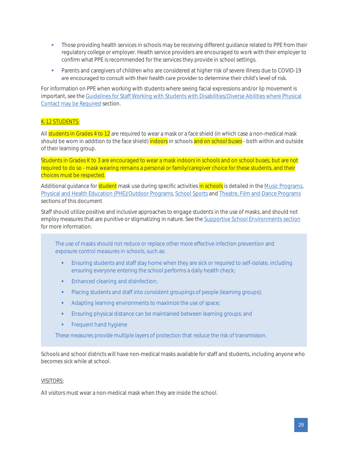- **•** Those providing health services in schools may be receiving different guidance related to PPE from their regulatory college or employer. Health service providers are encouraged to work with their employer to confirm what PPE is recommended for the services they provide in school settings.
- Parents and caregivers of children who are considered at higher risk of severe illness due to COVID-19 are encouraged to consult with their health care provider to determine their child's level of risk.

For information on PPE when working with students where seeing facial expressions and/or lip movement is important, see th[e Guidelines for Staff Working with Students with Disabilities/Diverse Abilities where Physical](#page-15-0)  [Contact may be Required](#page-15-0) section.

#### K-12 STUDENTS:

All students in Grades 4 to 12 are required to wear a mask or a face shield (in which case a non-medical mask should be worn in addition to the face shield) indoors in schools and on school buses - both within and outside of their learning group.

Students in Grades K to 3 are encouraged to wear a mask indoors in schools and on school buses, but are not required to do so - mask wearing remains a personal or family/caregiver choice for these students, and their choices must be respected.

Additional guidance for student mask use during specific activities in schools is detailed in the Music Programs, [Physical and Health Education \(PHE\)/Outdoor Programs,](#page-37-2) [School Sports](#page-40-0) and [Theatre, Film and Dance Programs](#page-43-0) sections of this document

Staff should utilize positive and inclusive approaches to engage students in the use of masks, and should not employ measures that are punitive or stigmatizing in nature. See th[e Supportive School Environments section](#page-7-0) for more information.

The use of masks should not reduce or replace other more effective infection prevention and exposure control measures in schools, such as:

- Ensuring students and staff stay home when they are sick or required to self-isolate, including ensuring everyone entering the school performs a daily health check;
- **•** Enhanced cleaning and disinfection;
- **•** Placing students and staff into consistent groupings of people (learning groups);
- **■** Adapting learning environments to maximize the use of space;
- **Ensuring physical distance can be maintained between learning groups; and**
- **•** Frequent hand hygiene

These measures provide multiple layers of protection that reduce the risk of transmission.

Schools and school districts will have non-medical masks available for staff and students, including anyone who becomes sick while at school.

#### VISITORS:

All visitors must wear a non-medical mask when they are inside the school.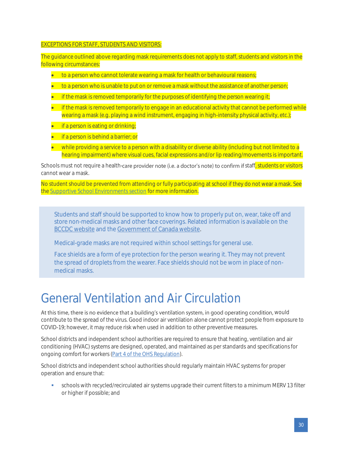#### EXCEPTIONS FOR STAFF, STUDENTS AND VISITORS:

The guidance outlined above regarding mask requirements does not apply to staff, students and visitors in the following circumstances:

- to a person who cannot tolerate wearing a mask for health or behavioural reasons;
- to a person who is unable to put on or remove a mask without the assistance of another person;
- if the mask is removed temporarily for the purposes of identifying the person wearing it;
- if the mask is removed temporarily to engage in an educational activity that cannot be performed while wearing a mask (e.g. playing a wind instrument, engaging in high-intensity physical activity, etc.);
- **•** if a person is eating or drinking;
- if a person is behind a barrier; or
- while providing a service to a person with a disability or diverse ability (including but not limited to a hearing impairment) where visual cues, facial expressions and/or lip reading/movements is important.

Schools must not require a health-care provider note (i.e. a doctor's note) to confirm if staff, students or visitors cannot wear a mask.

No student should be prevented from attending or fully participating at school if they do not wear a mask. See the [Supportive School Environments section](#page-7-0) for more information.

Students and staff should be supported to know how to properly put on, wear, take off and store non-medical masks and other face coverings. Related information is available on the [BCCDC website](http://www.bccdc.ca/health-info/diseases-conditions/covid-19/prevention-risks/masks) and the [Government of Canada website.](https://www.canada.ca/en/public-health/services/diseases/2019-novel-coronavirus-infection/prevention-risks/how-put-remove-clean-non-medical-masks-face-coverings.html)

Medical-grade masks are not required within school settings for general use.

Face shields are a form of eye protection for the person wearing it. They may not prevent the spread of droplets from the wearer. Face shields should not be worn in place of nonmedical masks.

## <span id="page-29-0"></span>General Ventilation and Air Circulation

At this time, there is no evidence that a building's ventilation system, in good operating condition, would contribute to the spread of the virus. Good indoor air ventilation alone cannot protect people from exposure to COVID-19; however, it may reduce risk when used in addition to other preventive measures.

School districts and independent school authorities are required to ensure that heating, ventilation and air conditioning (HVAC) systems are designed, operated, and maintained as per standards and specifications for ongoing comfort for workers [\(Part 4 of the OHS Regulation\)](https://www.worksafebc.com/en/law-policy/occupational-health-safety/searchable-ohs-regulation/ohs-regulation/part-04-general-conditions#SectionNumber:4.70).

School districts and independent school authorities should regularly maintain HVAC systems for proper operation and ensure that:

▪ schools with recycled/recirculated air systems upgrade their current filters to a minimum MERV 13 filter or higher if possible; and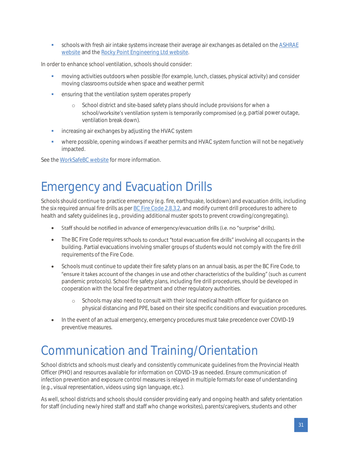schools with fresh air intake systems increase their average air exchanges as detailed on the ASHRAE [website](https://www.ashrae.org/file%20library/technical%20resources/covid-19/ashrae-reopening-schools-and-universities-c19-guidance.pdf) and the [Rocky Point Engineering Ltd website](http://rpeng.ca/School-ReOpenGuidelineSummaryMay2020.pdf).

In order to enhance school ventilation, schools should consider:

- **•** moving activities outdoors when possible (for example, lunch, classes, physical activity) and consider moving classrooms outside when space and weather permit
- ensuring that the ventilation system operates properly
	- o School district and site-based safety plans should include provisions for when a school/worksite's ventilation system is temporarily compromised (e.g. partial power outage, ventilation break down).
- **•** increasing air exchanges by adjusting the HVAC system
- where possible, opening windows if weather permits and HVAC system function will not be negatively impacted.

<span id="page-30-0"></span>See th[e WorkSafeBC website](https://www.worksafebc.com/en/resources/about-us/covid-19/general-ventilation-and-air-circulation-covid-19-faq?lang=en) for more information.

## Emergency and Evacuation Drills

Schools should continue to practice emergency (e.g. fire, earthquake, lockdown) and evacuation drills, including the six required annual fire drills as pe[r BC Fire Code 2.8.3.2,](http://free.bcpublications.ca/civix/document/id/public/bcfc2018/bcfc_2018dbp2s28/search/CIVIX_DOCUMENT_ROOT_STEM:(2.8.3.2)%20AND%20CIVIX_DOCUMENT_ANCESTORS:bcfc2018?2#hit1) and modify current drill procedures to adhere to [health and safety guidelines](https://www2.gov.bc.ca/assets/gov/education/administration/kindergarten-to-grade-12/safe-caring-orderly/k-12-covid-19-health-safety-guidlines.pdf) (e.g., providing additional muster spots to prevent crowding/congregating).

- Staff should be notified in advance of emergency/evacuation drills (i.e. no "surprise" drills).
- The BC Fire Code requires schools to conduct "total evacuation fire drills" involving all occupants in the building. Partial evacuations involving smaller groups of students would not comply with the fire drill requirements of the Fire Code.
- Schools must continue to update their fire safety plans on an annual basis, as per the BC Fire Code, to "ensure it takes account of the changes in use and other characteristics of the building" (such as current pandemic protocols). School fire safety plans, including fire drill procedures, should be developed in cooperation with the local fire department and other regulatory authorities.
	- o Schools may also need to consult with their local medical health officer for guidance on physical distancing and PPE, based on their site specific conditions and evacuation procedures.
- In the event of an actual emergency, emergency procedures must take precedence over COVID-19 preventive measures.

## <span id="page-30-1"></span>Communication and Training/Orientation

School districts and schools must clearly and consistently communicate guidelines from the Provincial Health Officer (PHO) and resources available for information on COVID-19 as needed. Ensure communication of infection prevention and exposure control measures is relayed in multiple formats for ease of understanding (e.g., visual representation, videos using sign language, etc.).

As well, school districts and schools should consider providing early and ongoing health and safety orientation for staff (including newly hired staff and staff who change worksites), parents/caregivers, students and other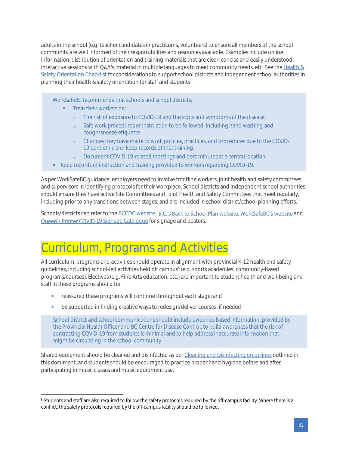adults in the school (e.g. teacher candidates in practicums, volunteers) to ensure all members of the school community are well informed of their responsibilities and resources available. Examples include online information, distribution of orientation and training materials that are clear, concise and easily understood, interactive sessions with Q&A's, material in multiple languages to meet community needs, etc. See th[e Health &](#page-47-0)  [Safety Orientation Checklist](#page-47-0) for considerations to support school districts and independent school authorities in planning their health & safety orientation for staff and students

WorkSafeBC recommends that schools and school districts:

- Train their workers on:
	- o The risk of exposure to COVID-19 and the signs and symptoms of the disease.
	- o Safe work procedures or instruction to be followed, including hand washing and cough/sneeze etiquette.
	- o Changes they have made to work policies, practices, and procedures due to the COVID-19 pandemic and keep records of that training.
	- o Document COVID-19-related meetings and post minutes at a central location.
- Keep records of instruction and training provided to workers regarding COVID-19.

As per WorkSafeBC guidance, employers need to involve frontline workers, joint health and safety committees, and supervisors in identifying protocols for their workplace. School districts and independent school authorities should ensure they have active Site Committees and Joint Health and Safety Committees that meet regularly, including prior to any transitions between stages, and are included in school district/school planning efforts.

Schools/districts can refer to the [BCCDC website](http://www.bccdc.ca/health-info/diseases-conditions/covid-19/resources-at-a-glance), B.C.'s B[a](https://www.worksafebc.com/en/forms-resources#sort=%40fcomputeditemdatefield343%20descending&f:content-type-facet=[Posters%20%26%20signs]&f:language-facet=[English]&tags=Covid-19|a96b6c96607345c481bb8621425ea03f)ck to School Plan website, WorkSafeBC's website and Queen's Printer COVID[-19 Signage Catalogue](https://brokerage.qp.gov.bc.ca/submit-print/assets/pdf/QP_COVID19_Signage_Catalogue_JUNE2020.pdf) for signage and posters.

## <span id="page-31-0"></span>Curriculum, Programs and Activities

All curriculum, programs and activities should operate in alignment with provincial K-12 health and safety guidelines, including school-led activities held off campus<sup>5</sup> (e.g. sports academies, community-based programs/courses). Electives (e.g. Fine Arts education, etc.) are important to student health and well-being and staff in these programs should be:

- **•** reassured these programs will continue throughout each stage; and
- be supported in finding creative ways to redesign/deliver courses, if needed

School district and school communications should include evidence-based information, provided by the Provincial Health Officer and BC Centre for Disease Control, to build awareness that the risk of contracting COVID-19 from students is minimal and to help address inaccurate information that might be circulating in the school community.

Shared equipment should be cleaned and disinfected as pe[r Cleaning and Disinfecting guidelines](#page-18-0) outlined in this document, and students should be encouraged to practice proper hand hygiene before and after participating in music classes and music equipment use.

<sup>&</sup>lt;sup>5</sup> Students and staff are also required to follow the safety protocols required by the off-campus facility. Where there is a conflict, the safety protocols required by the off-campus facility should be followed.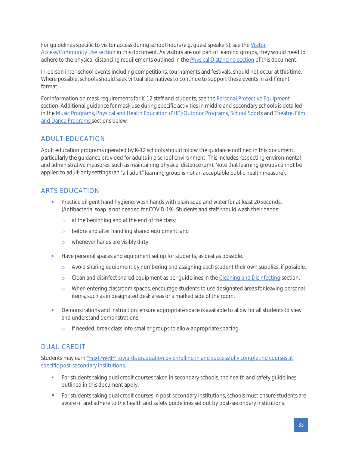For guidelines specific to visitor access during school hours (e.g. guest speakers), see the [Visitor](#page-21-1)  [Access/Community Use section](#page-21-1) in this document. As visitors are not part of learning groups, they would need to adhere to the physical distancing requirements outlined in the **Physical Distancing section** of this document.

In-person inter-school events including competitions, tournaments and festivals, should not occur at this time. Where possible, schools should seek virtual alternatives to continue to support these events in a different format.

For information on mask requirements for K-12 staff and students, see the [Personal Protective Equipment](#page-27-1) section. Additional guidance for mask use during specific activities in middle and secondary schools is detailed in the [Music Programs,](#page-37-0) [Physical and Health Education \(PHE\)/Outdoor Programs,](#page-37-2) [School Sports](#page-40-0) an[d Theatre, Film](#page-43-0)  [and Dance Programs](#page-43-0) sections below.

## <span id="page-32-0"></span>ADULT EDUCATION

Adult education programs operated by K-12 schools should follow the guidance outlined in this document, particularly the guidance provided for adults in a school environment. This includes respecting environmental and administrative measures, such as maintaining physical distance (2m). Note that learning groups cannot be applied to adult-only settings (an "all adult" learning group is not an acceptable public health measure).

## <span id="page-32-1"></span>ARTS EDUCATION

- **•** Practice diligent hand hygiene: wash hands with plain soap and water for at least 20 seconds. (Antibacterial soap is not needed for COVID-19). Students and staff should wash their hands:
	- o at the beginning and at the end of the class;
	- o before and after handling shared equipment; and
	- o whenever hands are visibly dirty.
- **■** Have personal spaces and equipment set up for students, as best as possible.
	- o Avoid sharing equipment by numbering and assigning each student their own supplies, if possible.
	- o Clean and disinfect shared equipment as per guidelines in th[e Cleaning and Disinfecting](#page-18-0) section.
	- o When entering classroom spaces, encourage students to use designated areas for leaving personal items, such as in designated desk areas or a marked side of the room.
- **•** Demonstrations and instruction: ensure appropriate space is available to allow for all students to view and understand demonstrations.
	- o If needed, break class into smaller groups to allow appropriate spacing.

## <span id="page-32-2"></span>DUAL CREDIT

Students may earn "dual credit" towards graduation by enrolling in and successfully completing courses at [specific post-secondary institutions.](https://www2.gov.bc.ca/gov/content/education-training/k-12/administration/legislation-policy/public-schools/earning-credit-through-equivalency-challenge-external-credentials-post-secondary-credit-and-independent-directed-studies)

- **•** For students taking dual credit courses taken in secondary schools, the health and safety guidelines outlined in this document apply.
- For students taking dual credit courses in post-secondary institutions, schools must ensure students are aware of and adhere to the health and safety guidelines set out by post-secondary institutions.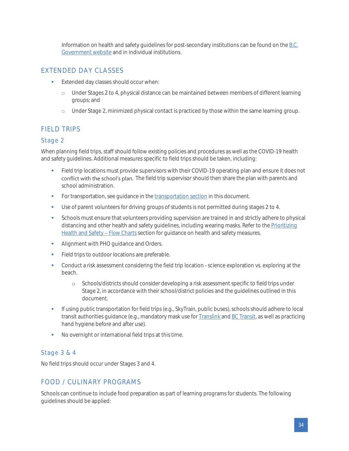Information on health and safety guidelines for post-secondary institutions can be found on th[e B.C.](https://www2.gov.bc.ca/gov/content/education-training/post-secondary-education/institution-resources-administration/studying-during-covid-19)  [Government website](https://www2.gov.bc.ca/gov/content/education-training/post-secondary-education/institution-resources-administration/studying-during-covid-19) and in individual institutions.

## <span id="page-33-0"></span>EXTENDED DAY CLASSES

- **Extended day classes should occur when:** 
	- o Under Stages 2 to 4, physical distance can be maintained between members of different learning groups; and
	- o Under Stage 2, minimized physical contact is practiced by those within the same learning group.

## <span id="page-33-1"></span>FIELD TRIPS

#### <span id="page-33-2"></span>Stage 2

When planning field trips, staff should follow existing policies and procedures as well as the COVID-19 health and safety guidelines. Additional measures specific to field trips should be taken, including:

- Field trip locations must provide supervisors with their COVID-19 operating plan and ensure it does not conflict with the school's plan. The field trip supervisor should then share the plan with parents and school administration.
- **•** For [transportation](#page-17-1), see guidance in the transportation section in this document.
- Use of parent volunteers for driving groups of students is not permitted during stages 2 to 4.
- **•** Schools must ensure that volunteers providing supervision are trained in and strictly adhere to physical distancing and other health and safety guidelines, including wearing masks. Refer to the Prioritizing Health and Safety - Flow Charts section for guidance on health and safety measures.
- **■** Alignment with PHO guidance and Orders.
- **•** Field trips to outdoor locations are preferable.
- **•** Conduct a risk assessment considering the field trip location science exploration vs. exploring at the beach.
	- o Schools/districts should consider developing a risk assessment specific to field trips under Stage 2, in accordance with their school/district policies and the guidelines outlined in this document.
- If using public transportation for field trips (e.g., SkyTrain, public buses), schools should adhere to local transit authorities guidance (e.g., mandatory mask use for **Translink and BC Transit**, as well as practicing hand hygiene before and after use).
- No overnight or international field trips at this time.

#### <span id="page-33-3"></span>Stage 3 & 4

No field trips should occur under Stages 3 and 4.

## <span id="page-33-4"></span>FOOD / CULINARY PROGRAMS

Schools can continue to include food preparation as part of learning programs for students. The following guidelines should be applied: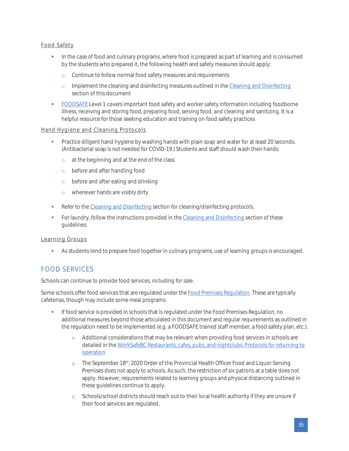#### Food Safety

- **•** In the case of food and culinary programs, where food is prepared as part of learning and is consumed by the students who prepared it, the following health and safety measures should apply:
	- o Continue to follow normal food safety measures and requirements
	- o Implement the cleaning and disinfecting measures outlined in th[e Cleaning and Disinfecting](#page-18-0) section of this document
- [FOODSAFE](http://www.foodsafe.ca/index.html) Level 1 covers important food safety and worker safety information including foodborne illness, receiving and storing food, preparing food, serving food, and cleaning and sanitizing. It is a helpful resource for those seeking education and training on food safety practices

#### Hand Hygiene and Cleaning Protocols

- **•** Practice diligent hand hygiene by washing hands with plain soap and water for at least 20 seconds. (Antibacterial soap is not needed for COVID-19.) Students and staff should wash their hands:
	- o at the beginning and at the end of the class
	- o before and after handling food
	- o before and after eating and drinking
	- o whenever hands are visibly dirty
- **Refer to th[e Cleaning and Disinfecting](#page-18-0) section for cleaning/disinfecting protocols.**
- **For laundry, follow the instructions provided in th[e Cleaning and Disinfecting](#page-18-0) section of these** guidelines.

#### Learning Groups

**•** As students tend to prepare food together in culinary programs, use of learning groups is encouraged.

### <span id="page-34-0"></span>FOOD SERVICES

Schools can continue to provide food services, including for sale.

Some schools offer food services that are regulated under th[e Food Premises Regulation.](https://www.bclaws.ca/civix/document/id/complete/statreg/11_210_99) These are typically cafeterias, though may include some meal programs.

- If food service is provided in schools that is regulated under the Food Premises Regulation, no additional measures beyond those articulated in this document and regular requirements as outlined in the regulation need to be implemented (e.g. a FOODSAFE trained staff member, a food safety plan, etc.).
	- o Additional considerations that may be relevant when providing food services in schools are detailed in th[e WorkSafeBC Restaurants, cafes, pubs, and nightclubs: Protocols for returning to](https://www.worksafebc.com/en/about-us/covid-19-updates/covid-19-returning-safe-operation/restaurant-cafes-pubs)  [operation](https://www.worksafebc.com/en/about-us/covid-19-updates/covid-19-returning-safe-operation/restaurant-cafes-pubs)
	- o The September 18<sup>th</sup>, 2020 Order of the Provincial Health Officer Food and Liquor Serving Premises does not apply to schools. As such, the restriction of six patrons at a table does not apply. However, requirements related to learning groups and physical distancing outlined in these guidelines continue to apply.
	- o Schools/school districts should reach out to their local health authority if they are unsure if their food services are regulated.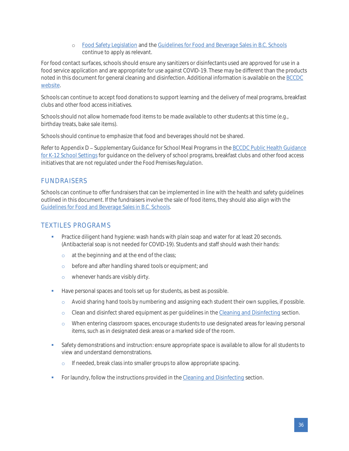o [Food Safety Legislation](https://www2.gov.bc.ca/gov/content/health/keeping-bc-healthy-safe/food-safety/food-safety-legislation) and th[e Guidelines for Food and Beverage Sales in B.C. Schools](https://www2.gov.bc.ca/assets/gov/education/administration/kindergarten-to-grade-12/healthyschools/2015_food_guidelines.pdf) continue to apply as relevant.

For food contact surfaces, schools should ensure any sanitizers or disinfectants used are approved for use in a food service application and are appropriate for use against COVID-19. These may be different than the products noted in this document for general cleaning and disinfection. Additional information is available on th[e BCCDC](http://www.bccdc.ca/health-info/diseases-conditions/covid-19/employers-businesses/food-businesses)  [website.](http://www.bccdc.ca/health-info/diseases-conditions/covid-19/employers-businesses/food-businesses)

Schools can continue to accept food donations to support learning and the delivery of meal programs, breakfast clubs and other food access initiatives.

Schools should not allow homemade food items to be made available to other students at this time (e.g., birthday treats, bake sale items).

Schools should continue to emphasize that food and beverages should not be shared.

Refer to Appendix D - Supplementary Guidance for School Meal Programs in the BCCDC Public Health Guidance [for K-12 School Settings](http://www.bccdc.ca/Health-Info-Site/Documents/COVID_public_guidance/Guidance-k-12-schools.pdf) for guidance on the delivery of school programs, breakfast clubs and other food access initiatives that are not regulated under the *Food Premises Regulation*.

### <span id="page-35-0"></span>FUNDRAISERS

Schools can continue to offer fundraisers that can be implemented in line with the health and safety guidelines outlined in this document. If the fundraisers involve the sale of food items, they should also align with the [Guidelines for Food and Beverage Sales in B.C. Schools.](https://www2.gov.bc.ca/assets/gov/education/administration/kindergarten-to-grade-12/healthyschools/2015_food_guidelines.pdf)

### <span id="page-35-1"></span>TEXTILES PROGRAMS

- **•** Practice diligent hand hygiene: wash hands with plain soap and water for at least 20 seconds. (Antibacterial soap is not needed for COVID-19). Students and staff should wash their hands:
	- o at the beginning and at the end of the class;
	- o before and after handling shared tools or equipment; and
	- o whenever hands are visibly dirty.
- **■** Have personal spaces and tools set up for students, as best as possible.
	- o Avoid sharing hand tools by numbering and assigning each student their own supplies, if possible.
	- o Clean and disinfect shared equipment as per guidelines in th[e Cleaning and Disinfecting](#page-18-0) section.
	- o When entering classroom spaces, encourage students to use designated areas for leaving personal items, such as in designated desk areas or a marked side of the room.
- Safety demonstrations and instruction: ensure appropriate space is available to allow for all students to view and understand demonstrations.
	- o If needed, break class into smaller groups to allow appropriate spacing.
- **•** For laundry, follow the instructions provided in th[e Cleaning and Disinfecting](#page-18-0) section.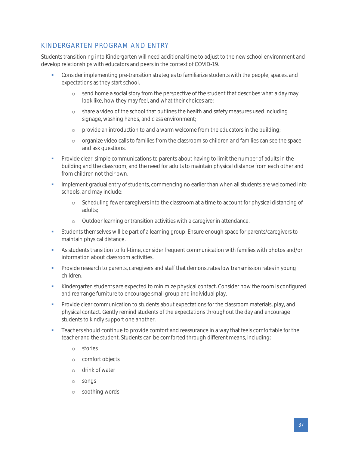## <span id="page-36-0"></span>KINDERGARTEN PROGRAM AND ENTRY

Students transitioning into Kindergarten will need additional time to adjust to the new school environment and develop relationships with educators and peers in the context of COVID-19.

- **•** Consider implementing pre-transition strategies to familiarize students with the people, spaces, and expectations as they start school.
	- o send home a social story from the perspective of the student that describes what a day may look like, how they may feel, and what their choices are;
	- o share a video of the school that outlines the health and safety measures used including signage, washing hands, and class environment;
	- o provide an introduction to and a warm welcome from the educators in the building;
	- o organize video calls to families from the classroom so children and families can see the space and ask questions.
- **•** Provide clear, simple communications to parents about having to limit the number of adults in the building and the classroom, and the need for adults to maintain physical distance from each other and from children not their own.
- **•** Implement gradual entry of students, commencing no earlier than when all students are welcomed into schools, and may include:
	- o Scheduling fewer caregivers into the classroom at a time to account for physical distancing of adults;
	- o Outdoor learning or transition activities with a caregiver in attendance.
- **•** Students themselves will be part of a learning group. Ensure enough space for parents/caregivers to maintain physical distance.
- As students transition to full-time, consider frequent communication with families with photos and/or information about classroom activities.
- **•** Provide research to parents, caregivers and staff that demonstrates low transmission rates in young children.
- **Kindergarten students are expected to minimize physical contact. Consider how the room is configured** and rearrange furniture to encourage small group and individual play.
- Provide clear communication to students about expectations for the classroom materials, play, and physical contact. Gently remind students of the expectations throughout the day and encourage students to kindly support one another.
- **•** Teachers should continue to provide comfort and reassurance in a way that feels comfortable for the teacher and the student. Students can be comforted through different means, including:
	- o stories
	- o comfort objects
	- o drink of water
	- o songs
	- o soothing words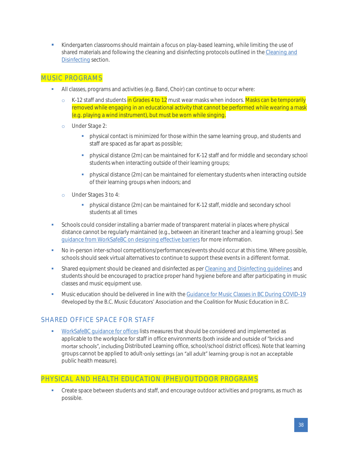**• Kindergarten classrooms should maintain a focus on play-based learning, while limiting the use of** shared materials and following the cleaning and disinfecting protocols outlined in the [Cleaning and](#page-18-0)  [Disinfecting](#page-18-0) section.

#### <span id="page-37-0"></span>MUSIC PROGRAMS

- All classes, programs and activities (e.g. Band, Choir) can continue to occur where:
	- o K-12 staff and students in Grades 4 to 12 must wear masks when indoors. Masks can be temporarily removed while engaging in an educational activity that cannot be performed while wearing a mask (e.g. playing a wind instrument), but must be worn while singing.
	- o Under Stage 2:
		- **•** physical contact is minimized for those within the same learning group, and students and staff are spaced as far apart as possible;
		- **•** physical distance (2m) can be maintained for K-12 staff and for middle and secondary school students when interacting outside of their learning groups;
		- **•** physical distance (2m) can be maintained for elementary students when interacting outside of their learning groups when indoors; and
	- o Under Stages 3 to 4:
		- **•** physical distance (2m) can be maintained for K-12 staff, middle and secondary school students at all times
- Schools could consider installing a barrier made of transparent material in places where physical distance cannot be regularly maintained (e.g., between an itinerant teacher and a learning group). See [guidance from WorkSafeBC on designing effective barriers](https://www.worksafebc.com/en/resources/health-safety/information-sheets/covid-19-health-safety-designing-effective-barriers?lang=en) for more information.
- No in-person inter-school competitions/performances/events should occur at this time. Where possible, schools should seek virtual alternatives to continue to support these events in a different format.
- **•** Shared equipment should be cleaned and disinfected as pe[r Cleaning and Disinfecting guidelines](#page-18-0) and students should be encouraged to practice proper hand hygiene before and after participating in music classes and music equipment use.
- **■** Music education should be delivered in line with the [Guidance for Music Classes in BC During COVID-19](https://drive.google.com/file/d/1KG2rE1rU-NENxbQsuYN20xnM9TBlNn3Z/view) developed by the B.C. Music Educators' Association and the Coalition for Music Education in B.C.

## <span id="page-37-1"></span>SHARED OFFICE SPACE FOR STAFF

[WorkSafeBC guidance for offices](https://www.worksafebc.com/en/about-us/covid-19-updates/covid-19-returning-safe-operation/offices) lists measures that should be considered and implemented as applicable to the workplace for staff in office environments (both inside and outside of "bricks and mortar schools", including Distributed Learning office, school/school district offices). Note that learning groups cannot be applied to adult-only settings (an "all adult" learning group is not an acceptable public health measure).

## <span id="page-37-2"></span>PHYSICAL AND HEALTH EDUCATION (PHE)/OUTDOOR PROGRAMS

**•** Create space between students and staff, and encourage outdoor activities and programs, as much as possible.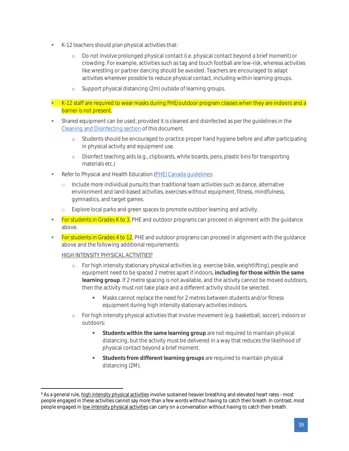- K-12 teachers should plan physical activities that:
	- o Do not involve prolonged physical contact (i.e. physical contact beyond a brief moment) or crowding. For example, activities such as tag and touch football are low-risk, whereas activities like wrestling or partner dancing should be avoided. Teachers are encouraged to adapt activities wherever possible to reduce physical contact, including within learning groups.
	- o Support physical distancing (2m) outside of learning groups.
- **EXECT 2** Staff are required to wear masks during PHE/outdoor program classes when they are indoors and a barrier is not present.
- **•** Shared equipment can be used, provided it is cleaned and disinfected as per the quidelines in the [Cleaning and Disinfecting section](#page-18-0) of this document.
	- o Students should be encouraged to practice proper hand hygiene before and after participating in physical activity and equipment use.
	- o Disinfect teaching aids (e.g., clipboards, white boards, pens, plastic bins for transporting materials etc.)
- Refer to Physical and Health Education (PHE) Canada quidelines:
	- $\circ$  Include more individual pursuits than traditional team activities such as dance, alternative environment and land-based activities, exercises without equipment, fitness, mindfulness, gymnastics, and target games.
	- o Explore local parks and green spaces to promote outdoor learning and activity.
- **Example 1** For students in Grades K to 3, PHE and outdoor programs can proceed in alignment with the quidance above.
- **Example 1** For students in Grades 4 to  $12$ , PHE and outdoor programs can proceed in alignment with the quidance above and the following additional requirements:

#### HIGH INTENSITY PHYSICAL ACTIVITIES<sup>6</sup>

- o For high intensity stationary physical activities (e.g. exercise bike, weightlifting), people and equipment need to be spaced 2 metres apart if indoors, **including for those within the same learning group**. If 2 metre spacing is not available, and the activity cannot be moved outdoors, then the activity must not take place and a different activity should be selected.
	- Masks cannot replace the need for 2 metres between students and/or fitness equipment during high intensity stationary activities indoors.
- o For high intensity physical activities that involve movement (e.g. basketball, soccer), indoors or outdoors:
	- **EXECT** Students within the same learning group are not required to maintain physical distancing, but the activity must be delivered in a way that reduces the likelihood of physical contact beyond a brief moment.
	- **Students from different learning groups** are required to maintain physical distancing (2M).

<sup>&</sup>lt;sup>6</sup> As a general rule, high intensity physical activities involve sustained heavier breathing and elevated heart rates - most people engaged in these activities cannot say more than a few words without having to catch their breath. In contrast, most people engaged in <u>low intensity physical activities</u> can carry on a conversation without having to catch their breath.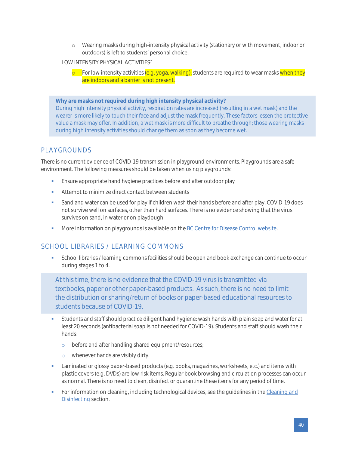o Wearing masks during high-intensity physical activity (stationary or with movement, indoor or outdoors) is left to students' personal choice.

#### LOW INTENSITY PHYSICAL ACTIVITIES<sup>7</sup>

 $\circ$  For low intensity activities (e.g. yoga, walking), students are required to wear masks when they are indoors and a barrier is not present.

<span id="page-39-2"></span>**Why are masks not required during high intensity physical activity?**  During high intensity physical activity, respiration rates are increased (resulting in a wet mask) and the wearer is more likely to touch their face and adjust the mask frequently. These factors lessen the protective value a mask may offer. In addition, a wet mask is more difficult to breathe through; those wearing masks during high intensity activities should change them as soon as they become wet.

### <span id="page-39-0"></span>PLAYGROUNDS

There is no current evidence of COVID-19 transmission in playground environments. Playgrounds are a safe environment. The following measures should be taken when using playgrounds:

- **Ensure appropriate hand hygiene practices before and after outdoor play**
- Attempt to minimize direct contact between students
- Sand and water can be used for play if children wash their hands before and after play. COVID-19 does not survive well on surfaces, other than hard surfaces. There is no evidence showing that the virus survives on sand, in water or on playdough.
- **■** More information on playgrounds is available on the [BC Centre for Disease Control website.](http://www.bccdc.ca/health-info/diseases-conditions/covid-19/community-settings/playgrounds)

### <span id="page-39-1"></span>SCHOOL LIBRARIES / LEARNING COMMONS

**•** School libraries / learning commons facilities should be open and book exchange can continue to occur during stages 1 to 4.

At this time, there is no evidence that the COVID-19 virus is transmitted via textbooks, paper or other paper-based products. As such, there is no need to limit the distribution or sharing/return of books or paper-based educational resources to students because of COVID-19.

- **•** Students and staff should practice diligent hand hygiene: wash hands with plain soap and water for at least 20 seconds (antibacterial soap is not needed for COVID-19). Students and staff should wash their hands:
	- o before and after handling shared equipment/resources;
	- o whenever hands are visibly dirty.
- **•** Laminated or glossy paper-based products (e.g. books, magazines, worksheets, etc.) and items with plastic covers (e.g. DVDs) are low risk items. Regular book browsing and circulation processes can occur as normal. There is no need to clean, disinfect or quarantine these items for any period of time.
- For information on cleaning, including technological devices, see the guidelines in the Cleaning and [Disinfecting](#page-18-0) section.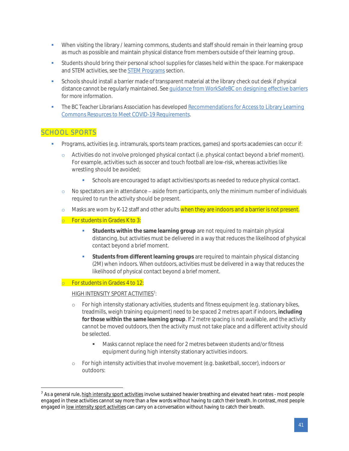- When visiting the library / learning commons, students and staff should remain in their learning group as much as possible and maintain physical distance from members outside of their learning group.
- **•** Students should bring their personal school supplies for classes held within the space. For makerspace and STEM activities, see th[e STEM Programs](#page-41-0) section.
- **•** Schools should install a barrier made of transparent material at the library check out desk if physical distance cannot be regularly maintained. Se[e guidance from WorkSafeBC on designing effective barriers](https://www.worksafebc.com/en/resources/health-safety/information-sheets/covid-19-health-safety-designing-effective-barriers?lang=en) for more information.
- The BC Teacher Librarians Association has developed Recommendations for Access to Library Learning [Commons Resources to Meet](https://bctla.ca/wp-content/uploads/2020/09/BCTLA-Recommendations-for-Access-to-Library-Learning-Commons-Resources-to-Meet-COVID-19-Requirements-September-Update-1-2.pdf) COVID-19 Requirements.

### <span id="page-40-0"></span>SCHOOL SPORTS

- Programs, activities (e.g. intramurals, sports team practices, games) and sports academies can occur if:
	- o Activities do not involve prolonged physical contact (i.e. physical contact beyond a brief moment). For example, activities such as soccer and touch football are low-risk, whereas activities like wrestling should be avoided;
		- Schools are encouraged to adapt activities/sports as needed to reduce physical contact.
	- $\circ$  No spectators are in attendance aside from participants, only the minimum number of individuals required to run the activity should be present.
	- o Masks are worn by K-12 staff and other adults when they are indoors and a barrier is not present.
	- o For students in Grades K to 3:
		- **•** Students within the same learning group are not required to maintain physical distancing, but activities must be delivered in a way that reduces the likelihood of physical contact beyond a brief moment.
		- **•** Students from different learning groups are required to maintain physical distancing (2M) when indoors. When outdoors, activities must be delivered in a way that reduces the likelihood of physical contact beyond a brief moment.

#### o For students in Grades 4 to 12:

#### <u>HIGH INTENSITY SPORT ACTIVITIES</u><sup>7</sup>:

- o For high intensity stationary activities, students and fitness equipment (e.g. stationary bikes, treadmills, weigh training equipment) need to be spaced 2 metres apart if indoors, **including for those within the same learning group**. If 2 metre spacing is not available, and the activity cannot be moved outdoors, then the activity must not take place and a different activity should be selected.
	- Masks cannot replace the need for 2 metres between students and/or fitness equipment during high intensity stationary activities indoors.
- o For high intensity activities that involve movement (e.g. basketball, soccer), indoors or outdoors:

<sup>&</sup>lt;sup>7</sup> As a general rule, high intensity sport activities involve sustained heavier breathing and elevated heart rates - most people engaged in these activities cannot say more than a few words without having to catch their breath. In contrast, most people engaged in low intensity sport activities can carry on a conversation without having to catch their breath.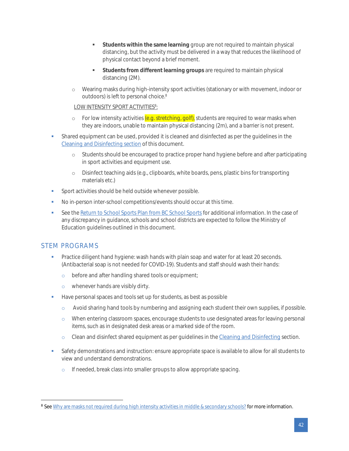- **Students within the same learning** group are not required to maintain physical distancing, but the activity must be delivered in a way that reduces the likelihood of physical contact beyond a brief moment.
- Students from different learning groups are required to maintain physical distancing (2M).
- o Wearing masks during high-intensity sport activities (stationary or with movement, indoor or outdoors) is left to personal choice.<sup>8</sup>

#### <u>LOW INTENSITY SPORT ACTIVITIES<sup>8</sup>:</u>

- o For low intensity activities (e.g. stretching, golf), students are required to wear masks when they are indoors, unable to maintain physical distancing (2m), and a barrier is not present.
- **•** Shared equipment can be used, provided it is cleaned and disinfected as per the quidelines in the [Cleaning and Disinfecting section](#page-18-0) of this document.
	- o Students should be encouraged to practice proper hand hygiene before and after participating in sport activities and equipment use.
	- o Disinfect teaching aids (e.g., clipboards, white boards, pens, plastic bins for transporting materials etc.)
- Sport activities should be held outside whenever possible.
- No in-person inter-school competitions/events should occur at this time.
- **EXECT** See th[e Return to School Sports Plan from BC School Sports](https://www.bcschoolsports.ca/sites/default/files/BCSS%20Return%20to%20School%20Sport%20Plan%20v2%20-%20Sept%2023%202020.pdf) for additional information. In the case of any discrepancy in guidance, schools and school districts are expected to follow the Ministry of Education guidelines outlined in this document.

### <span id="page-41-0"></span>STEM PROGRAMS

- Practice diligent hand hygiene: wash hands with plain soap and water for at least 20 seconds. (Antibacterial soap is not needed for COVID-19). Students and staff should wash their hands:
	- o before and after handling shared tools or equipment;
	- o whenever hands are visibly dirty.
- Have personal spaces and tools set up for students, as best as possible
	- o Avoid sharing hand tools by numbering and assigning each student their own supplies, if possible.
	- o When entering classroom spaces, encourage students to use designated areas for leaving personal items, such as in designated desk areas or a marked side of the room.
	- o Clean and disinfect shared equipment as per guidelines in th[e Cleaning and Disinfecting](#page-18-0) section.
- Safety demonstrations and instruction: ensure appropriate space is available to allow for all students to view and understand demonstrations.
	- o If needed, break class into smaller groups to allow appropriate spacing.

<sup>8</sup> Se[e Why are masks not required during high intensity activities in middle & secondary schools?](#page-39-2) for more information.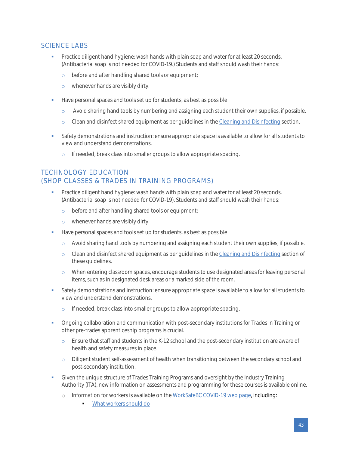## <span id="page-42-0"></span>SCIENCE LABS

- **•** Practice diligent hand hygiene: wash hands with plain soap and water for at least 20 seconds. (Antibacterial soap is not needed for COVID-19.) Students and staff should wash their hands:
	- o before and after handling shared tools or equipment;
	- o whenever hands are visibly dirty.
- Have personal spaces and tools set up for students, as best as possible
	- o Avoid sharing hand tools by numbering and assigning each student their own supplies, if possible.
	- o Clean and disinfect shared equipment as per guidelines in th[e Cleaning and Disinfecting](#page-18-0) section.
- **•** Safety demonstrations and instruction: ensure appropriate space is available to allow for all students to view and understand demonstrations.
	- o If needed, break class into smaller groups to allow appropriate spacing.

## <span id="page-42-1"></span>TECHNOLOGY EDUCATION (SHOP CLASSES & TRADES IN TRAINING PROGRAMS)

- Practice diligent hand hygiene: wash hands with plain soap and water for at least 20 seconds. (Antibacterial soap is not needed for COVID-19). Students and staff should wash their hands:
	- o before and after handling shared tools or equipment;
	- o whenever hands are visibly dirty.
- Have personal spaces and tools set up for students, as best as possible
	- o Avoid sharing hand tools by numbering and assigning each student their own supplies, if possible.
	- o Clean and disinfect shared equipment as per guidelines in th[e Cleaning and Disinfecting](#page-18-0) section of these guidelines.
	- o When entering classroom spaces, encourage students to use designated areas for leaving personal items, such as in designated desk areas or a marked side of the room.
- Safety demonstrations and instruction: ensure appropriate space is available to allow for all students to view and understand demonstrations.
	- o If needed, break class into smaller groups to allow appropriate spacing.
- **•** Ongoing collaboration and communication with post-secondary institutions for Trades in Training or other pre-trades apprenticeship programs is crucial.
	- o Ensure that staff and students in the K-12 school and the post-secondary institution are aware of health and safety measures in place.
	- o Diligent student self-assessment of health when transitioning between the secondary school and post-secondary institution.
- Given the unique structure of Trades Training Programs and oversight by the Industry Training Authority (ITA), new information on assessments and programming for these courses i[s available online.](http://youth.itabc.ca/covid-19-youth/)
	- o Information for workers is available on the [WorkSafeBC COVID-19 web page,](https://www.worksafebc.com/en/about-us/covid-19-updates) including:
		- [What workers should do](https://www.worksafebc.com/en/about-us/covid-19-updates/health-and-safety/what-workers-should-do)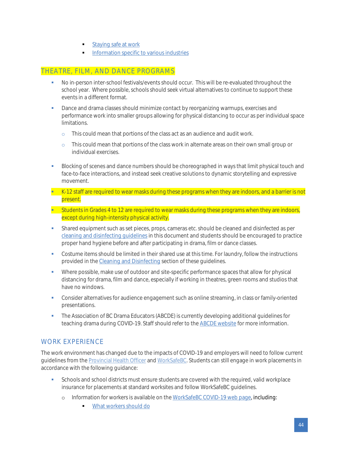- **Example 3 [Staying safe at work](https://www.worksafebc.com/en/about-us/covid-19-updates/health-and-safety/staying-safe-at-work)**
- **[Information specific to various industries](https://can01.safelinks.protection.outlook.com/?url=https%3A%2F%2Fworksafebc.com%2Fen%2Fabout-us%2Fcovid-19-updates%2Fcovid-19-industry-information&data=01%7C01%7CRobin.Schooley%40worksafebc.com%7C6c32bdf222e14862e10508d7d59cea6d%7C05c5c963c8394c9eb5c1b51b3799ac37%7C1&sdata=DwzJd7ZXcESluymhPWoCkpDFW%2FK6rMe1OBDWof88nzE%3D&reserved=0)**

#### <span id="page-43-0"></span>THEATRE, FILM, AND DANCE PROGRAMS

- No in-person inter-school festivals/events should occur. This will be re-evaluated throughout the school year. Where possible, schools should seek virtual alternatives to continue to support these events in a different format.
- Dance and drama classes should minimize contact by reorganizing warmups, exercises and performance work into smaller groups allowing for physical distancing to occur as per individual space limitations.
	- o This could mean that portions of the class act as an audience and audit work.
	- o This could mean that portions of the class work in alternate areas on their own small group or individual exercises.
- Blocking of scenes and dance numbers should be choreographed in ways that limit physical touch and face-to-face interactions, and instead seek creative solutions to dynamic storytelling and expressive movement.
- K-12 staff are required to wear masks during these programs when they are indoors, and a barrier is not present.
- **EXECT** Students in Grades 4 to 12 are required to wear masks during these programs when they are indoors, except during high-intensity physical activity.
- **•** Shared equipment such as set pieces, props, cameras etc. should be cleaned and disinfected as per [cleaning and disinfecting guidelines](#page-18-0) in this document and students should be encouraged to practice proper hand hygiene before and after participating in drama, film or dance classes.
- Costume items should be limited in their shared use at this time. For laundry, follow the instructions provided in the [Cleaning and Disinfecting](#page-18-0) section of these guidelines.
- Where possible, make use of outdoor and site-specific performance spaces that allow for physical distancing for drama, film and dance, especially if working in theatres, green rooms and studios that have no windows.
- Consider alternatives for audience engagement such as online streaming, in class or family-oriented presentations.
- **The Association of BC Drama Educators (ABCDE) is currently developing additional guidelines for** teaching drama during COVID-19. Staff should refer to the [ABCDE website](http://www.bcdramateachers.com/) for more information.

### <span id="page-43-1"></span>WORK EXPERIENCE

The work environment has changed due to the impacts of COVID-19 and employers will need to follow current guidelines from th[e Provincial Health Officer](https://www2.gov.bc.ca/gov/content/health/about-bc-s-health-care-system/office-of-the-provincial-health-officer/current-health-topics/covid-19-novel-coronavirus) an[d WorkSafeBC.](https://www.worksafebc.com/en/about-us/covid-19-updates) Students can still engage in work placements in accordance with the following guidance:

- Schools and school districts must ensure students are covered with the required, valid workplace insurance for placements at standard worksites and follow WorkSafeBC guidelines.
	- o Information for workers is available on the [WorkSafeBC COVID-19 web page,](https://www.worksafebc.com/en/about-us/covid-19-updates) including:
		- [What workers should do](https://www.worksafebc.com/en/about-us/covid-19-updates/health-and-safety/what-workers-should-do)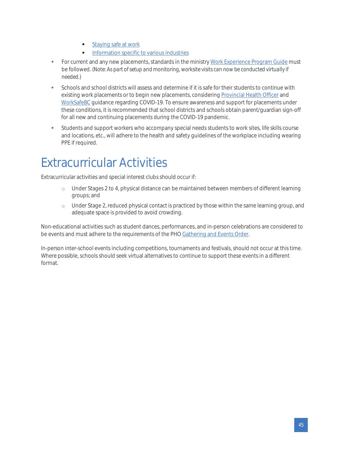- **Example 3 [Staying safe at work](https://www.worksafebc.com/en/about-us/covid-19-updates/health-and-safety/staying-safe-at-work)**
- [Information specific to various industries](https://can01.safelinks.protection.outlook.com/?url=https%3A%2F%2Fworksafebc.com%2Fen%2Fabout-us%2Fcovid-19-updates%2Fcovid-19-industry-information&data=01%7C01%7CRobin.Schooley%40worksafebc.com%7C6c32bdf222e14862e10508d7d59cea6d%7C05c5c963c8394c9eb5c1b51b3799ac37%7C1&sdata=DwzJd7ZXcESluymhPWoCkpDFW%2FK6rMe1OBDWof88nzE%3D&reserved=0)
- For current and any new placements, standards in the ministr[y Work Experience Program Guide](https://www2.gov.bc.ca/assets/gov/education/kindergarten-to-grade-12/teach/pdfs/curriculum/appliedskills/wex-guide.pdf) must be followed. (*Note: As part of setup and monitoring, worksite visits can now be conducted virtually if needed.)*
- Schools and school districts will assess and determine if it is safe for their students to continue with existing work placements or to begin new placements, considerin[g Provincial Health Officer](https://www2.gov.bc.ca/gov/content/health/about-bc-s-health-care-system/office-of-the-provincial-health-officer/current-health-topics/covid-19-novel-coronavirus) and [WorkSafeBC](https://www.worksafebc.com/en/about-us/covid-19-updates) guidance regarding COVID-19. To ensure awareness and support for placements under these conditions, it is recommended that school districts and schools obtain parent/guardian sign-off for all new and continuing placements during the COVID-19 pandemic.
- **•** Students and support workers who accompany special needs students to work sites, life skills course and locations, etc., will adhere to the health and safety guidelines of the workplace including wearing PPE if required.

## <span id="page-44-0"></span>Extracurricular Activities

Extracurricular activities and special interest clubs should occur if:

- o Under Stages 2 to 4, physical distance can be maintained between members of different learning groups; and
- o Under Stage 2, reduced physical contact is practiced by those within the same learning group, and adequate space is provided to avoid crowding.

Non-educational activities such as student dances, performances, and in-person celebrations are considered to be events and must adhere to the requirements of the PHO [Gathering and Events Order.](https://www2.gov.bc.ca/assets/gov/health/about-bc-s-health-care-system/office-of-the-provincial-health-officer/covid-19/covid-19-pho-order-gatherings-events.pdf)

In-person inter-school events including competitions, tournaments and festivals, should not occur at this time. Where possible, schools should seek virtual alternatives to continue to support these events in a different format.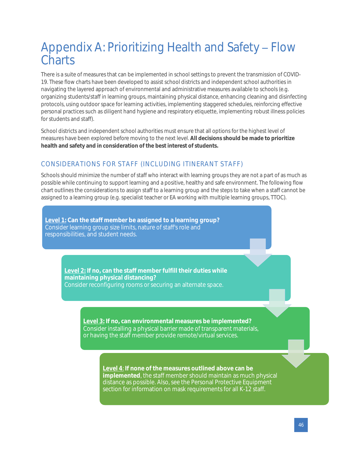## <span id="page-45-0"></span>Appendix A: Prioritizing Health and Safety - Flow **Charts**

There is a suite of measures that can be implemented in school settings to prevent the transmission of COVID-19. These flow charts have been developed to assist school districts and independent school authorities in navigating the layered approach of environmental and administrative measures available to schools (e.g. organizing students/staff in learning groups, maintaining physical distance, enhancing cleaning and disinfecting protocols, using outdoor space for learning activities, implementing staggered schedules, reinforcing effective personal practices such as diligent hand hygiene and respiratory etiquette, implementing robust illness policies for students and staff).

School districts and independent school authorities must ensure that all options for the highest level of measures have been explored before moving to the next level. **All decisions should be made to prioritize health and safety and in consideration of the best interest of students.**

## <span id="page-45-1"></span>CONSIDERATIONS FOR STAFF (INCLUDING ITINERANT STAFF)

Schools should minimize the number of staff who interact with learning groups they are not a part of as much as possible while continuing to support learning and a positive, healthy and safe environment. The following flow chart outlines the considerations to assign staff to a learning group and the steps to take when a staff cannot be assigned to a learning group (e.g. specialist teacher or EA working with multiple learning groups, TTOC).

**Level 1: Can the staff member be assigned to a learning group?** Consider learning group size limits, nature of staff's role and responsibilities, and student needs.

> **Level 2: If no, can the staff member fulfill their duties while maintaining physical distancing?** Consider reconfiguring rooms or securing an alternate space.

> > **Level 3: If no, can environmental measures be implemented?** Consider installing a physical barrier made of transparent materials, or having the staff member provide remote/virtual services.

> > > **Level 4**: **If none of the measures outlined above can be implemented**, the staff member should maintain as much physical [distance as possible. Also, see the Personal Protective Equipment](#page-27-1)  section for information on mask requirements for all K-12 staff.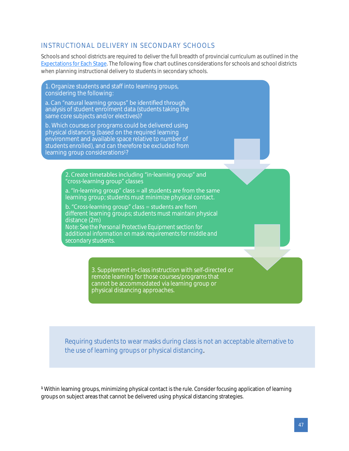### <span id="page-46-0"></span>INSTRUCTIONAL DELIVERY IN SECONDARY SCHOOLS

Schools and school districts are required to deliver the full breadth of provincial curriculum as outlined in the [Expectations for Each Stage.](https://www2.gov.bc.ca/gov/content/education-training/k-12/administration/program-management/safe-caring-and-orderly-schools/planning-framework/expectations) The following flow chart outlines considerations for schools and school districts when planning instructional delivery to students in secondary schools.

1. Organize students and staff into learning groups, considering the following:

a. Can "natural learning groups" be identified through analysis of student enrolment data (students taking the same core subjects and/or electives)?

b. Which courses or programs could be delivered using physical distancing (based on the required learning environment and available space relative to number of students enrolled), and can therefore be excluded from learning group considerations<sup>1</sup>?

> 2. Create timetables including "in-learning group" and "cross-learning group" classes

a. "In-learning group" class  $=$  all students are from the same learning group; students must minimize physical contact.

b. "Cross-learning group" class = students are from [different learning groups; students must maintain physical](#page-27-1)  distance (2m) *Note: See the Personal Protective Equipment section for* 

*additional information on mask requirements for middle and secondary students.*

> 3. Supplement in-class instruction with self-directed or remote learning for those courses/programs that cannot be accommodated via learning group or physical distancing approaches.

Requiring students to wear masks during class is not an acceptable alternative to the use of learning groups or physical distancing.

**<sup>1</sup>** Within learning groups, minimizing physical contact is the rule. Consider focusing application of learning groups on subject areas that cannot be delivered using physical distancing strategies.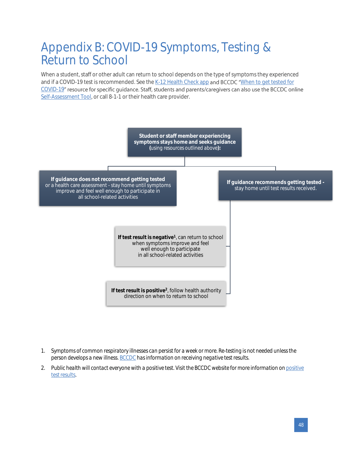## <span id="page-47-0"></span>Appendix B: COVID-19 Symptoms, Testing & Return to School

When a student, staff or other adult can return to school depends on the type of symptoms they experienced and if a COVID-19 test is recommended. See th[e K-12 Health Check app](https://www.k12dailycheck.gov.bc.ca/) and BCCDC "When to get tested for [COVID-19](http://www.bccdc.ca/Health-Info-Site/Documents/COVID_public_guidance/When_to_get_tested.pdf)" resource for specific guidance. Staff, students and parents/caregivers can also use the BCCDC online [Self-Assessment Tool,](https://bc.thrive.health/) or call 8-1-1 or their health care provider.



- *1. Symptoms of common respiratory illnesses can persist for a week or more. Re-testing is not needed unless the person develops a new illness[. BCCDC](http://www.bccdc.ca/health-info/diseases-conditions/covid-19/testing/understanding-test-results) has information on receiving negative test results.*
- *2. Public health will contact everyone with a positive test. Visit the BCCDC website for more information o[n positive](http://www.bccdc.ca/health-info/diseases-conditions/covid-19/testing/understanding-test-results)  [test results.](http://www.bccdc.ca/health-info/diseases-conditions/covid-19/testing/understanding-test-results)*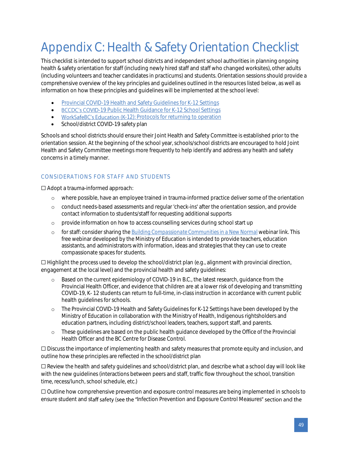# <span id="page-48-0"></span>Appendix C: Health & Safety Orientation Checklist

This checklist is intended to support school districts and independent school authorities in planning ongoing health & safety orientation for staff (including newly hired staff and staff who changed worksites), other adults (including volunteers and teacher candidates in practicums) and students. Orientation sessions should provide a comprehensive overview of the key principles and guidelines outlined in the resources listed below, as well as information on how these principles and guidelines will be implemented at the school level:

- [Provincial COVID-19 Health and Safety Guidelines for K-12 Settings](https://www2.gov.bc.ca/assets/gov/education/administration/kindergarten-to-grade-12/safe-caring-orderly/k-12-covid-19-health-safety-guidlines.pdf)
- **BCCDC's COVID[-19 Public Health Guidance for K-12 School Settings](http://www.bccdc.ca/Health-Info-Site/Documents/COVID_public_guidance/Guidance-k-12-schools.pdf)**
- WorkSafeBC's Education (K[-12\): Protocols for returning to operation](https://www.worksafebc.com/en/about-us/covid-19-updates/covid-19-returning-safe-operation/education)
- School/district COVID-19 safety plan

Schools and school districts should ensure their Joint Health and Safety Committee is established prior to the orientation session. At the beginning of the school year, schools/school districts are encouraged to hold Joint Health and Safety Committee meetings more frequently to help identify and address any health and safety concerns in a timely manner.

### <span id="page-48-1"></span>CONSIDERATIONS FOR STAFF AND STUDENTS

☐ Adopt a trauma-informed approach:

- o where possible, have an employee trained in trauma-informed practice deliver some of the orientation
- o conduct needs-based assessments and regular 'check-ins' after the orientation session, and provide contact information to students/staff for requesting additional supports
- o provide information on how to access counselling services during school start up
- o for staff: consider sharing the *[Building Compassionate Communities in a New Normal](https://www.openschool.bc.ca/webinars)* webinar link. This free webinar developed by the Ministry of Education is intended to provide teachers, education assistants, and administrators with information, ideas and strategies that they can use to create compassionate spaces for students.

☐ Highlight the process used to develop the school/district plan (e.g., alignment with provincial direction, engagement at the local level) and the provincial health and safety guidelines:

- o Based on the current epidemiology of COVID-19 in B.C., the latest research, guidance from the Provincial Health Officer, and evidence that children are at a lower risk of developing and transmitting COVID-19, K- 12 students can return to full-time, in-class instruction in accordance with current public health guidelines for schools.
- o The Provincial COVID-19 Health and Safety Guidelines for K-12 Settings have been developed by the Ministry of Education in collaboration with the Ministry of Health, Indigenous rightsholders and education partners, including district/school leaders, teachers, support staff, and parents.
- These guidelines are based on the public health guidance developed by the Office of the Provincial Health Officer and the BC Centre for Disease Control.

☐ Discuss the importance of implementing health and safety measures that promote equity and inclusion, and outline how these principles are reflected in the school/district plan

☐ Review the health and safety guidelines and school/district plan, and describe what a school day will look like with the new guidelines (interactions between peers and staff, traffic flow throughout the school, transition time, recess/lunch, school schedule, etc.)

☐ Outline how comprehensive prevention and exposure control measures are being implemented in schools to ensure student and staff safety (see the "Infection Prevention and Exposure Control Measures" section and the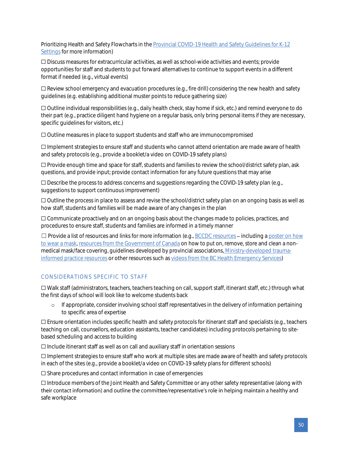Prioritizing Health and Safety Flowcharts in the Provincial COVID-19 Health and Safety Guidelines for K-12 [Settings](https://www2.gov.bc.ca/assets/gov/education/administration/kindergarten-to-grade-12/safe-caring-orderly/k-12-covid-19-health-safety-guidlines.pdf) for more information)

☐ Discuss measures for extracurricular activities, as well as school-wide activities and events; provide opportunities for staff and students to put forward alternatives to continue to support events in a different format if needed (e.g., virtual events)

☐ Review school emergency and evacuation procedures (e.g., fire drill) considering the new health and safety guidelines (e.g. establishing additional muster points to reduce gathering size)

☐ Outline individual responsibilities (e.g., daily health check, stay home if sick, etc.) and remind everyone to do their part (e.g., practice diligent hand hygiene on a regular basis, only bring personal items if they are necessary, specific guidelines for visitors, etc.)

☐ Outline measures in place to support students and staff who are immunocompromised

☐ Implement strategies to ensure staff and students who cannot attend orientation are made aware of health and safety protocols (e.g., provide a booklet/a video on COVID-19 safety plans)

☐ Provide enough time and space for staff, students and families to review the school/district safety plan, ask questions, and provide input; provide contact information for any future questions that may arise

 $\square$  Describe the process to address concerns and suggestions regarding the COVID-19 safety plan (e.g., suggestions to support continuous improvement)

☐ Outline the process in place to assess and revise the school/district safety plan on an ongoing basis as well as how staff, students and families will be made aware of any changes in the plan

☐ Communicate proactively and on an ongoing basis about the changes made to policies, practices, and procedures to ensure staff, students and families are informed in a timely manner

 $\Box$  Provide a list of resources and links for more information (e.g.[, BCCDC resources](http://www.bccdc.ca/health-info/diseases-conditions/covid-19/resources-at-a-glance) – including a poster on how [to wear a mask,](http://www.bccdc.ca/Health-Professionals-Site/Documents/COVID19_SurgicalMaskPoster.pdf) [resources from the Government of Canada](https://www.canada.ca/en/public-health/services/diseases/2019-novel-coronavirus-infection/prevention-risks/how-put-remove-clean-non-medical-masks-face-coverings.html) on how to put on, remove, store and clean a nonmedical mask/face covering, guidelines developed by provincial associations, [Ministry-developed trauma](https://mytrainingbc.ca/traumainformedpractice/)[informed practice resources](https://mytrainingbc.ca/traumainformedpractice/) or other resources such a[s videos from the BC Health Emergency Services\)](https://www.youtube.com/channel/UCB3gsij7i8NvQxnBEVsiVFQ/videos)

#### <span id="page-49-0"></span>CONSIDERATIONS SPECIFIC TO STAFF

☐ Walk staff (administrators, teachers, teachers teaching on call, support staff, itinerant staff, etc.) through what the first days of school will look like to welcome students back

o If appropriate, consider involving school staff representatives in the delivery of information pertaining to specific area of expertise

☐ Ensure orientation includes specific health and safety protocols for itinerant staff and specialists (e.g., teachers teaching on call, counsellors, education assistants, teacher candidates) including protocols pertaining to sitebased scheduling and access to building

☐ Include itinerant staff as well as on call and auxiliary staff in orientation sessions

☐ Implement strategies to ensure staff who work at multiple sites are made aware of health and safety protocols in each of the sites (e.g., provide a booklet/a video on COVID-19 safety plans for different schools)

☐ Share procedures and contact information in case of emergencies

☐ Introduce members of the Joint Health and Safety Committee or any other safety representative (along with their contact information) and outline the committee/representative's role in helping maintain a healthy and safe workplace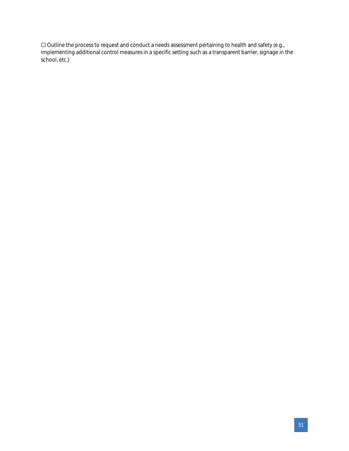☐ Outline the process to request and conduct a needs assessment pertaining to health and safety (e.g., implementing additional control measures in a specific setting such as a transparent barrier, signage in the school, etc.)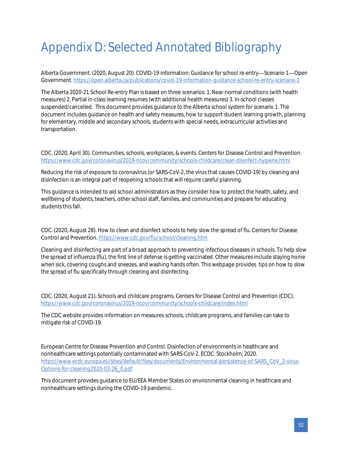# <span id="page-51-0"></span>Appendix D: Selected Annotated Bibliography

Alberta Government. (2020, August 20). COVID-19 information: Guidance for school re-entry-Scenario 1-Open Government.<https://open.alberta.ca/publications/covid-19-information-guidance-school-re-entry-scenario-1>

The Alberta 2020-21 School Re-entry Plan is based on three scenarios: 1. Near-normal conditions (with health measures) 2. Partial in-class learning resumes (with additional health measures) 3. In-school classes suspended/cancelled. This document provides guidance to the Alberta school system for scenario 1. The document includes guidance on health and safety measures, how to support student learning growth, planning for elementary, middle and secondary schools, students with special needs, extracurricular activities and transportation.

CDC. (2020, April 30). Communities, schools, workplaces, & events. Centers for Disease Control and Prevention. <https://www.cdc.gov/coronavirus/2019-ncov/community/schools-childcare/clean-disinfect-hygiene.html>

Reducing the risk of exposure to coronavirus (or SARS-CoV-2, the virus that causes COVID-19) by cleaning and disinfection is an integral part of reopening schools that will require careful planning.

This guidance is intended to aid school administrators as they consider how to protect the health, safety, and wellbeing of students, teachers, other school staff, families, and communities and prepare for educating students this fall.

CDC. (2020, August 28). How to clean and disinfect schools to help slow the spread of flu. Centers for Disease Control and Prevention[. https://www.cdc.gov/flu/school/cleaning.htm](https://www.cdc.gov/flu/school/cleaning.htm)

Cleaning and disinfecting are part of a broad approach to preventing infectious diseases in schools. To help slow the spread of influenza (flu), the first line of defense is getting vaccinated. Other measures include staying home when sick, covering coughs and sneezes, and washing hands often. This webpage provides tips on how to slow the spread of flu specifically through cleaning and disinfecting.

CDC. (2020, August 21). Schools and childcare programs. Centers for Disease Control and Prevention (CDC). <https://www.cdc.gov/coronavirus/2019-ncov/community/schools-childcare/index.html>

The CDC website provides information on measures schools, childcare programs, and families can take to mitigate risk of COVID-19.

European Centre for Disease Prevention and Control. Disinfection of environments in healthcare and nonhealthcare settings potentially contaminated with SARS-CoV-2. ECDC: Stockholm; 2020. [https://www.ecdc.europa.eu/sites/default/files/documents/Environmental-persistence-of-SARS\\_CoV\\_2-virus-](https://www.ecdc.europa.eu/sites/default/files/documents/Environmental-persistence-of-SARS_CoV_2-virus-Options-for-cleaning2020-03-26_0.pdf)[Options-for-cleaning2020-03-26\\_0.pdf](https://www.ecdc.europa.eu/sites/default/files/documents/Environmental-persistence-of-SARS_CoV_2-virus-Options-for-cleaning2020-03-26_0.pdf)

This document provides guidance to EU/EEA Member States on environmental cleaning in healthcare and nonhealthcare settings during the COVID-19 pandemic.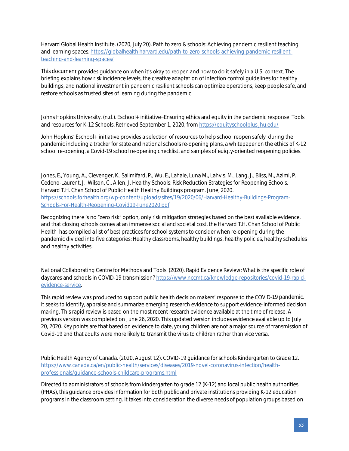Harvard Global Health Institute. (2020, July 20). Path to zero & schools: Achieving pandemic resilient teaching and learning spaces. [https://globalhealth.harvard.edu/path-to-zero-schools-achieving-pandemic-resilient](https://globalhealth.harvard.edu/path-to-zero-schools-achieving-pandemic-resilient-teaching-and-learning-spaces/)[teaching-and-learning-spaces/](https://globalhealth.harvard.edu/path-to-zero-schools-achieving-pandemic-resilient-teaching-and-learning-spaces/)

This document provides guidance on when it's okay to reopen and how to do it safely in a U.S. context. The briefing explains how risk incidence levels, the creative adaptation of infection control guidelines for healthy buildings, and national investment in pandemic resilient schools can optimize operations, keep people safe, and restore schools as trusted sites of learning during the pandemic.

Johns Hopkins University. (n.d.). Eschool+ initiative Ensuring ethics and equity in the pandemic response: Tools and resources for K-12 Schools*.* Retrieved September 1, 2020, fro[m https://equityschoolplus.jhu.edu/](https://equityschoolplus.jhu.edu/)

John Hopkins' Eschool+ initiative provides a selection of resources to help school reopen safely during the pandemic including a tracker for state and national schools re-opening plans, a whitepaper on the ethics of K-12 school re-opening, a Covid-19 school re-opening checklist, and samples of euiqty-oriented reopening policies.

Jones, E., Young, A., Clevenger, K., Salimifard, P., Wu, E., Lahaie, Luna M., Lahvis. M., Lang, J., Bliss, M., Azimi, P., Cedeno-Laurent, J., Wilson, C., Allen, J. Healthy Schools: Risk Reduction Strategies for Reopening Schools. Harvard T.H. Chan School of Public Health Healthy Buildings program. June, 2020. [https://schools.forhealth.org/wp-content/uploads/sites/19/2020/06/Harvard-Healthy-Buildings-Program-](https://schools.forhealth.org/wp-content/uploads/sites/19/2020/06/Harvard-Healthy-Buildings-Program-Schools-For-Health-Reopening-Covid19-June2020.pdf)[Schools-For-Health-Reopening-Covid19-June2020.pdf](https://schools.forhealth.org/wp-content/uploads/sites/19/2020/06/Harvard-Healthy-Buildings-Program-Schools-For-Health-Reopening-Covid19-June2020.pdf)

Recognizing there is no "zero risk" option, only risk mitigation strategies based on the best available evidence, and that closing schools comes at an immense social and societal cost, the Harvard T.H. Chan School of Public Health has compiled a list of best practices for school systems to consider when re-opening during the pandemic divided into five categories: Healthy classrooms, healthy buildings, healthy policies, healthy schedules and healthy activities.

National Collaborating Centre for Methods and Tools. (2020). Rapid Evidence Review: What is the specific role of daycares and schools in COVID-19 transmission[? https://www.nccmt.ca/knowledge-repositories/covid-19-rapid](https://www.nccmt.ca/knowledge-repositories/covid-19-rapid-evidence-service)[evidence-service.](https://www.nccmt.ca/knowledge-repositories/covid-19-rapid-evidence-service)

This rapid review was produced to support public health decision makers' response to the COVID-19 pandemic. It seeks to identify, appraise and summarize emerging research evidence to support evidence-informed decision making. This rapid review is based on the most recent research evidence available at the time of release. A previous version was completed on June 26, 2020. This updated version includes evidence available up to July 20, 2020. Key points are that based on evidence to date, young children are not a major source of transmission of Covid-19 and that adults were more likely to transmit the virus to children rather than vice versa.

Public Health Agency of Canada. (2020, August 12). COVID-19 guidance for schools Kindergarten to Grade 12. [https://www.canada.ca/en/public-health/services/diseases/2019-novel-coronavirus-infection/health](https://www.canada.ca/en/public-health/services/diseases/2019-novel-coronavirus-infection/health-professionals/guidance-schools-childcare-programs.html)[professionals/guidance-schools-childcare-programs.html](https://www.canada.ca/en/public-health/services/diseases/2019-novel-coronavirus-infection/health-professionals/guidance-schools-childcare-programs.html)

Directed to administrators of schools from kindergarten to grade 12 (K-12) and local public health authorities (PHAs), this guidance provides information for both public and private institutions providing K-12 education programs in the classroom setting. It takes into consideration the diverse needs of population groups based on